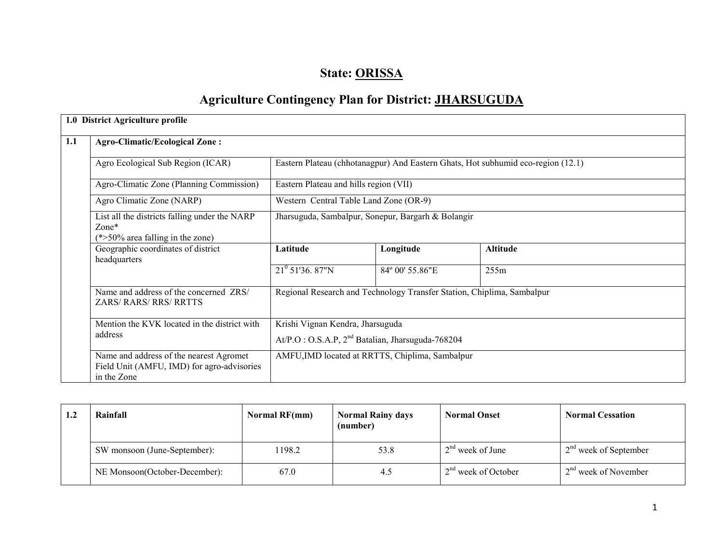# State: ORISSA

# Agriculture Contingency Plan for District: JHARSUGUDA

|  | 1.0 District Agriculture profile                                                                       |                                                                                           |                                                                        |                                                                                  |  |  |
|--|--------------------------------------------------------------------------------------------------------|-------------------------------------------------------------------------------------------|------------------------------------------------------------------------|----------------------------------------------------------------------------------|--|--|
|  | <b>Agro-Climatic/Ecological Zone:</b>                                                                  |                                                                                           |                                                                        |                                                                                  |  |  |
|  | Agro Ecological Sub Region (ICAR)                                                                      |                                                                                           |                                                                        | Eastern Plateau (chhotanagpur) And Eastern Ghats, Hot subhumid eco-region (12.1) |  |  |
|  | Agro-Climatic Zone (Planning Commission)                                                               | Eastern Plateau and hills region (VII)                                                    |                                                                        |                                                                                  |  |  |
|  | Agro Climatic Zone (NARP)                                                                              | Western Central Table Land Zone (OR-9)                                                    |                                                                        |                                                                                  |  |  |
|  | List all the districts falling under the NARP<br>$\text{Zone*}$<br>$(*>50\%$ area falling in the zone) |                                                                                           | Jharsuguda, Sambalpur, Sonepur, Bargarh & Bolangir                     |                                                                                  |  |  |
|  | Geographic coordinates of district<br>headquarters                                                     | Latitude                                                                                  | Longitude                                                              | <b>Altitude</b>                                                                  |  |  |
|  |                                                                                                        | $21^{\circ}$ 51'36. 87"N                                                                  | 84° 00' 55.86"E                                                        | 255m                                                                             |  |  |
|  | Name and address of the concerned ZRS/<br><b>ZARS/ RARS/ RRS/ RRTTS</b>                                |                                                                                           | Regional Research and Technology Transfer Station, Chiplima, Sambalpur |                                                                                  |  |  |
|  | Mention the KVK located in the district with<br>address                                                | Krishi Vignan Kendra, Jharsuguda<br>$At/P.O$ : O.S.A.P, $2nd$ Batalian, Jharsuguda-768204 |                                                                        |                                                                                  |  |  |
|  | Name and address of the nearest Agromet<br>Field Unit (AMFU, IMD) for agro-advisories<br>in the Zone   |                                                                                           | AMFU, IMD located at RRTTS, Chiplima, Sambalpur                        |                                                                                  |  |  |

| $\mathbf{L}$ | Rainfall                              | Normal RF(mm) | <b>Normal Rainy days</b><br>(number) | <b>Normal Onset</b>   | <b>Normal Cessation</b> |
|--------------|---------------------------------------|---------------|--------------------------------------|-----------------------|-------------------------|
|              | SW monsoon (June-September):          | 1198.2        | 53.8                                 | $2nd$ week of June    | $2nd$ week of September |
|              | NE Monsoon(October-December):<br>67.0 |               | 4.5                                  | $2nd$ week of October | $2nd$ week of November  |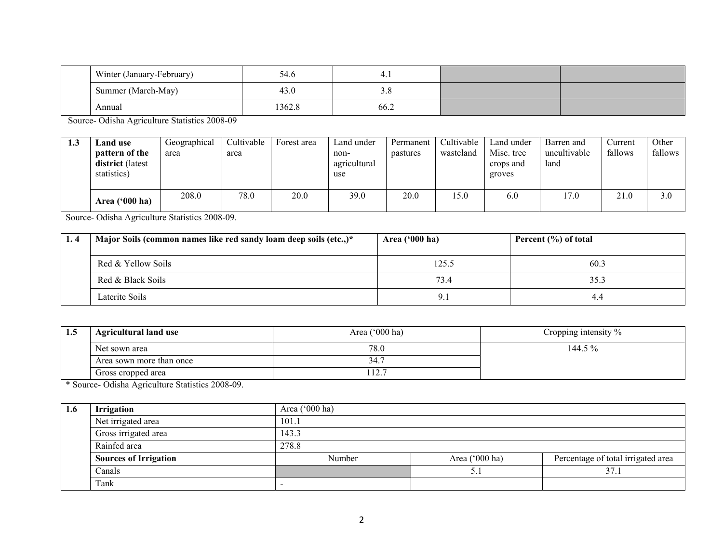|  | Winter (January-February) | 54.6   | ∸<br>. |  |
|--|---------------------------|--------|--------|--|
|  | Summer (March-May)        | 43.0   | 3.0    |  |
|  | Annual                    | 1362.8 | 66.2   |  |

Source- Odisha Agriculture Statistics 2008-09

| 1.3 | Land use<br>pattern of the<br><b>district</b> (latest<br>statistics) | Geographical<br>area | Cultivable<br>area | Forest area | Land under<br>non-<br>agricultural<br>use | Permanent<br>pastures | Cultivable<br>wasteland | Land under<br>Misc. tree<br>crops and<br>groves | Barren and<br>uncultivable<br>land | Current<br>fallows | Other<br>fallows |
|-----|----------------------------------------------------------------------|----------------------|--------------------|-------------|-------------------------------------------|-----------------------|-------------------------|-------------------------------------------------|------------------------------------|--------------------|------------------|
|     | Area $('000 ha)$                                                     | 208.0                | 78.0               | 20.0        | 39.0                                      | 20.0                  | 15.0                    | 6.0                                             | 17.0                               | 21.0               | 3.0              |

Source- Odisha Agriculture Statistics 2008-09.

| Major Soils (common names like red sandy loam deep soils (etc.,)* | Area ('000 ha) | Percent (%) of total |
|-------------------------------------------------------------------|----------------|----------------------|
| Red & Yellow Soils                                                | 125.5          | 60.3                 |
| Red & Black Soils                                                 | 73.4           | 35.3                 |
| Laterite Soils                                                    | 9.1            | 4.4                  |

| 1.5 | <b>Agricultural land use</b> | Area ('000 ha)          | Cropping intensity $\%$ |
|-----|------------------------------|-------------------------|-------------------------|
|     | Net sown area                | 78.0                    | 144.5 %                 |
|     | Area sown more than once     | 34.                     |                         |
|     | Gross cropped area           | 12 <sup>2</sup><br>12.1 |                         |

\* Source- Odisha Agriculture Statistics 2008-09.

| 1.6 | <b>Irrigation</b>            | Area $('000 ha)$ |                  |                                    |  |  |  |  |  |  |
|-----|------------------------------|------------------|------------------|------------------------------------|--|--|--|--|--|--|
|     | Net irrigated area           | 101.1            |                  |                                    |  |  |  |  |  |  |
|     | Gross irrigated area         | 143.3            |                  |                                    |  |  |  |  |  |  |
|     | Rainfed area                 | 278.8            |                  |                                    |  |  |  |  |  |  |
|     | <b>Sources of Irrigation</b> | Number           | Area $('000 ha)$ | Percentage of total irrigated area |  |  |  |  |  |  |
|     | Canals                       |                  | 37.1             |                                    |  |  |  |  |  |  |
|     | Tank                         | -                |                  |                                    |  |  |  |  |  |  |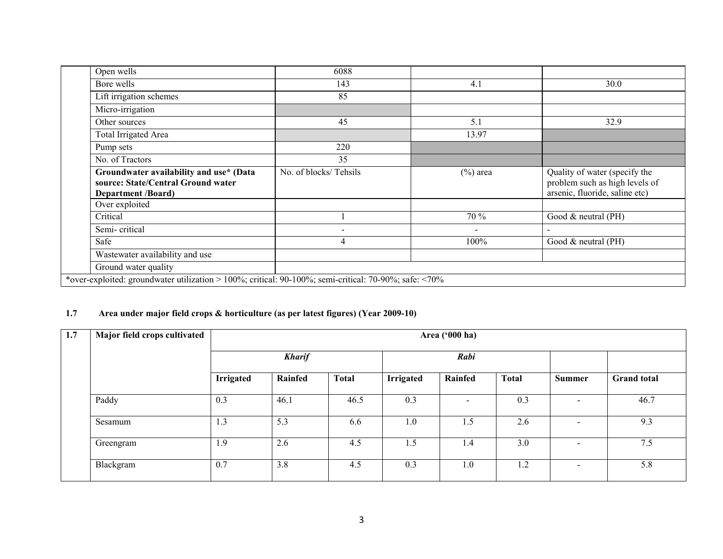| Open wells                                                                                                 | 6088                  |             |                                                                                                   |
|------------------------------------------------------------------------------------------------------------|-----------------------|-------------|---------------------------------------------------------------------------------------------------|
| Bore wells                                                                                                 | 143                   | 4.1         | 30.0                                                                                              |
| Lift irrigation schemes                                                                                    | 85                    |             |                                                                                                   |
| Micro-irrigation                                                                                           |                       |             |                                                                                                   |
| Other sources                                                                                              | 45                    | 5.1         | 32.9                                                                                              |
| Total Irrigated Area                                                                                       |                       | 13.97       |                                                                                                   |
| Pump sets                                                                                                  | 220                   |             |                                                                                                   |
| No. of Tractors                                                                                            | 35                    |             |                                                                                                   |
| Groundwater availability and use* (Data<br>source: State/Central Ground water<br><b>Department /Board)</b> | No. of blocks/Tehsils | $(\%)$ area | Quality of water (specify the<br>problem such as high levels of<br>arsenic, fluoride, saline etc) |
|                                                                                                            |                       |             |                                                                                                   |
| Over exploited                                                                                             |                       |             |                                                                                                   |
| Critical                                                                                                   |                       | 70 %        | Good $&$ neutral (PH)                                                                             |
| Semi-critical                                                                                              |                       |             | $\overline{\phantom{0}}$                                                                          |
| Safe                                                                                                       | 4                     | 100%        | Good $&$ neutral (PH)                                                                             |
| Wastewater availability and use                                                                            |                       |             |                                                                                                   |
| Ground water quality                                                                                       |                       |             |                                                                                                   |

#### 1.7 Area under major field crops & horticulture (as per latest figures) (Year 2009-10)

| 1.7 | Major field crops cultivated |                  | Area ('000 ha) |              |           |                          |              |                          |                    |  |
|-----|------------------------------|------------------|----------------|--------------|-----------|--------------------------|--------------|--------------------------|--------------------|--|
|     |                              |                  | <b>Kharif</b>  |              | Rabi      |                          |              |                          |                    |  |
|     |                              | <b>Irrigated</b> | Rainfed        | <b>Total</b> | Irrigated | Rainfed                  | <b>Total</b> | <b>Summer</b>            | <b>Grand</b> total |  |
|     | Paddy                        | 0.3              | 46.1           | 46.5         | 0.3       | $\overline{\phantom{a}}$ | 0.3          | $\,$                     | 46.7               |  |
|     | Sesamum                      | 1.3              | 5.3            | 6.6          | 1.0       | 1.5                      | 2.6          | $\overline{\phantom{0}}$ | 9.3                |  |
|     | Greengram                    | 1.9              | 2.6            | 4.5          | 1.5       | 1.4                      | 3.0          | $\overline{\phantom{a}}$ | 7.5                |  |
|     | Blackgram                    | 0.7              | 3.8            | 4.5          | 0.3       | 1.0                      | 1.2          | $\blacksquare$           | 5.8                |  |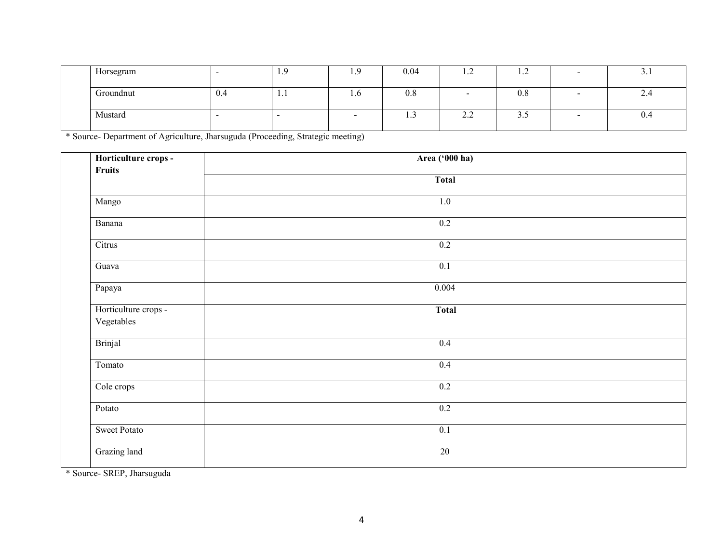| Horsegram | . . | -1.9 | .   | 0.04 | $\cdot$     | $\cdot$ | <u>.</u>                  |
|-----------|-----|------|-----|------|-------------|---------|---------------------------|
| Groundnut | 0.4 | .    | 1.0 | 0.8  |             | 0.8     | $\mathcal{L}.\mathcal{H}$ |
| Mustard   | -   |      |     | .    | $\sim$<br>. | ن. ب    | 0.4                       |

\* Source- Department of Agriculture, Jharsuguda (Proceeding, Strategic meeting)

| Horticulture crops -<br>Fruits     | Area ('000 ha)  |  |
|------------------------------------|-----------------|--|
|                                    | <b>Total</b>    |  |
| Mango                              | 1.0             |  |
| Banana                             | 0.2             |  |
| Citrus                             | 0.2             |  |
| $\overline{G}$ uava                | 0.1             |  |
| Papaya                             | 0.004           |  |
| Horticulture crops -<br>Vegetables | <b>Total</b>    |  |
| <b>Brinjal</b>                     | 0.4             |  |
| Tomato                             | 0.4             |  |
| Cole crops                         | 0.2             |  |
| $\overline{P}$ otato               | 0.2             |  |
| <b>Sweet Potato</b>                | 0.1             |  |
| Grazing land                       | $\overline{20}$ |  |

\* Source- SREP, Jharsuguda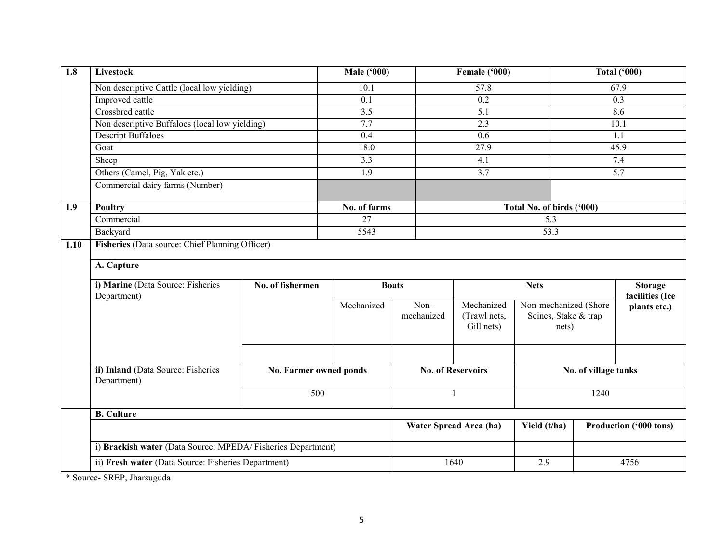| $\overline{1.8}$ | <b>Livestock</b>                                            |                        | <b>Male ('000)</b> |                    | Female ('000)                            |                                                        | <b>Total ('000)</b>  |                                   |
|------------------|-------------------------------------------------------------|------------------------|--------------------|--------------------|------------------------------------------|--------------------------------------------------------|----------------------|-----------------------------------|
|                  | Non descriptive Cattle (local low yielding)                 |                        | 10.1               |                    | 57.8                                     |                                                        |                      | 67.9                              |
|                  | Improved cattle                                             |                        | 0.1                |                    | 0.2                                      |                                                        |                      | 0.3                               |
|                  | Crossbred cattle                                            |                        | $\overline{3.5}$   |                    | 5.1                                      |                                                        |                      | 8.6                               |
|                  | Non descriptive Buffaloes (local low yielding)              |                        | 7.7                |                    | 2.3                                      |                                                        |                      | 10.1                              |
|                  | <b>Descript Buffaloes</b>                                   |                        | 0.4                |                    | 0.6                                      |                                                        |                      | 1.1                               |
|                  | Goat                                                        |                        | 18.0               |                    | 27.9                                     |                                                        |                      | 45.9                              |
|                  | Sheep                                                       |                        | 3.3                |                    | 4.1                                      |                                                        |                      | 7.4                               |
|                  | Others (Camel, Pig, Yak etc.)                               |                        | 1.9                |                    | 3.7                                      |                                                        |                      | 5.7                               |
|                  | Commercial dairy farms (Number)                             |                        |                    |                    |                                          |                                                        |                      |                                   |
| 1.9              | <b>Poultry</b>                                              |                        | No. of farms       |                    |                                          | Total No. of birds ('000)                              |                      |                                   |
|                  | Commercial                                                  |                        | $\overline{27}$    |                    |                                          | 5.3                                                    |                      |                                   |
|                  | Backyard                                                    |                        | 5543               |                    |                                          | 53.3                                                   |                      |                                   |
|                  | A. Capture                                                  |                        |                    |                    |                                          |                                                        |                      |                                   |
|                  | i) Marine (Data Source: Fisheries                           | No. of fishermen       | <b>Boats</b>       |                    | <b>Nets</b>                              |                                                        |                      | <b>Storage</b><br>facilities (Ice |
|                  | Department)                                                 |                        | Mechanized         | Non-<br>mechanized | Mechanized<br>(Trawl nets,<br>Gill nets) | Non-mechanized (Shore<br>Seines, Stake & trap<br>nets) |                      | plants etc.)                      |
|                  | ii) Inland (Data Source: Fisheries<br>Department)           | No. Farmer owned ponds |                    |                    | <b>No. of Reservoirs</b>                 |                                                        | No. of village tanks |                                   |
|                  |                                                             | 500                    |                    |                    |                                          |                                                        | 1240                 |                                   |
|                  | <b>B.</b> Culture                                           |                        |                    |                    |                                          |                                                        |                      |                                   |
|                  |                                                             |                        |                    |                    | Water Spread Area (ha)                   | Yield (t/ha)                                           |                      | Production ('000 tons)            |
|                  | i) Brackish water (Data Source: MPEDA/Fisheries Department) |                        |                    |                    |                                          |                                                        |                      |                                   |
|                  | ii) Fresh water (Data Source: Fisheries Department)         |                        |                    |                    | 1640                                     | 2.9                                                    |                      | 4756                              |

\* Source- SREP, Jharsuguda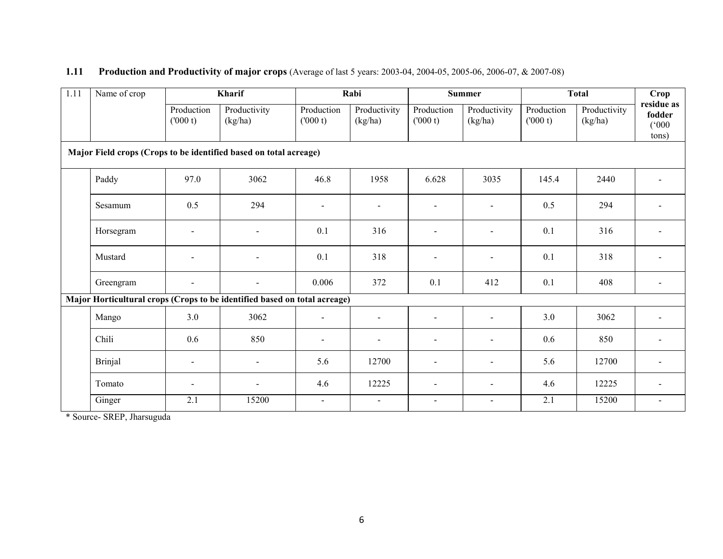### 1.11 Production and Productivity of major crops (Average of last 5 years: 2003-04, 2004-05, 2005-06, 2006-07, & 2007-08)

| 1.11 | Name of crop                                                              |                          | Kharif                   |                       | Rabi                    |                          | <b>Summer</b>            |                       | <b>Total</b>            | Crop                                   |
|------|---------------------------------------------------------------------------|--------------------------|--------------------------|-----------------------|-------------------------|--------------------------|--------------------------|-----------------------|-------------------------|----------------------------------------|
|      |                                                                           | Production<br>(000 t)    | Productivity<br>(kg/ha)  | Production<br>(000 t) | Productivity<br>(kg/ha) | Production<br>(000 t)    | Productivity<br>(kg/ha)  | Production<br>(000 t) | Productivity<br>(kg/ha) | residue as<br>fodder<br>(000)<br>tons) |
|      | Major Field crops (Crops to be identified based on total acreage)         |                          |                          |                       |                         |                          |                          |                       |                         |                                        |
|      | Paddy                                                                     | 97.0                     | 3062                     | 46.8                  | 1958                    | 6.628                    | 3035                     | 145.4                 | 2440                    |                                        |
|      | Sesamum                                                                   | 0.5                      | 294                      | $\overline{a}$        | $\sim$                  |                          |                          | 0.5                   | 294                     |                                        |
|      | Horsegram                                                                 |                          | $\overline{a}$           | 0.1                   | 316                     | $\overline{a}$           | $\overline{a}$           | 0.1                   | 316                     |                                        |
|      | Mustard                                                                   |                          | $\overline{\phantom{a}}$ | 0.1                   | 318                     | $\overline{a}$           | $\overline{\phantom{a}}$ | 0.1                   | 318                     |                                        |
|      | Greengram                                                                 |                          |                          | 0.006                 | 372                     | 0.1                      | 412                      | 0.1                   | 408                     |                                        |
|      | Major Horticultural crops (Crops to be identified based on total acreage) |                          |                          |                       |                         |                          |                          |                       |                         |                                        |
|      | Mango                                                                     | 3.0                      | 3062                     | $\mathbf{r}$          | $\blacksquare$          | $\overline{a}$           | $\overline{a}$           | 3.0                   | 3062                    |                                        |
|      | Chili                                                                     | 0.6                      | 850                      | $\blacksquare$        | $\blacksquare$          | $\sim$                   | $\blacksquare$           | 0.6                   | 850                     |                                        |
|      | <b>Brinjal</b>                                                            | $\overline{\phantom{a}}$ | $\blacksquare$           | 5.6                   | 12700                   | $\blacksquare$           | $\blacksquare$           | 5.6                   | 12700                   |                                        |
|      | Tomato                                                                    |                          |                          | 4.6                   | 12225                   | $\sim$                   | $\blacksquare$           | 4.6                   | 12225                   |                                        |
|      | Ginger                                                                    | 2.1                      | 15200                    | $\blacksquare$        | $\blacksquare$          | $\overline{\phantom{a}}$ | $\blacksquare$           | 2.1                   | 15200                   |                                        |

\* Source- SREP, Jharsuguda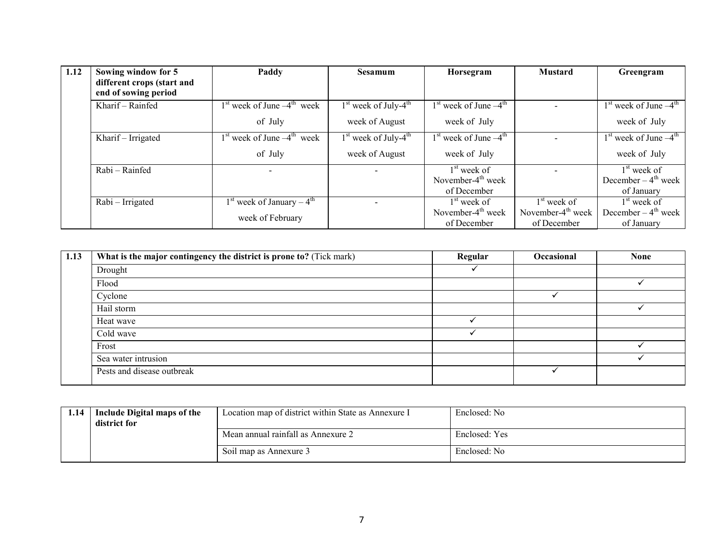| 1.12 | Sowing window for 5                                | Paddy                          | Sesamum                            | Horsegram                 | <b>Mustard</b>       | Greengram                      |
|------|----------------------------------------------------|--------------------------------|------------------------------------|---------------------------|----------------------|--------------------------------|
|      | different crops (start and<br>end of sowing period |                                |                                    |                           |                      |                                |
|      |                                                    |                                |                                    |                           |                      |                                |
|      | Kharif - Rainfed                                   | $1st$ week of June $-4th$ week | $1st$ week of July-4 <sup>th</sup> | $1st$ week of June $-4th$ |                      | $1st$ week of June $-4th$      |
|      |                                                    | of July                        | week of August                     | week of July              |                      | week of July                   |
|      | Kharif - Irrigated                                 | $1st$ week of June $-4th$ week | $1st$ week of July-4 <sup>th</sup> | $1st$ week of June $-4th$ |                      | $1st$ week of June $-4th$      |
|      |                                                    | of July                        | week of August                     | week of July              |                      | week of July                   |
|      | Rabi - Rainfed                                     |                                |                                    | $1st$ week of             |                      | $1st$ week of                  |
|      |                                                    |                                |                                    | November- $4th$ week      |                      | December $-4^{\text{th}}$ week |
|      |                                                    |                                |                                    | of December               |                      | of January                     |
|      | Rabi - Irrigated                                   | $1st$ week of January – $4th$  |                                    | $1st$ week of             | $1st$ week of        | $1st$ week of                  |
|      |                                                    | week of February               |                                    | November- $4th$ week      | November- $4th$ week | December $-4^{\text{th}}$ week |
|      |                                                    |                                |                                    | of December               | of December          | of January                     |

| 1.13 | What is the major contingency the district is prone to? (Tick mark) | Regular | Occasional | <b>None</b> |
|------|---------------------------------------------------------------------|---------|------------|-------------|
|      | Drought                                                             |         |            |             |
|      | Flood                                                               |         |            |             |
|      | Cyclone                                                             |         |            |             |
|      | Hail storm                                                          |         |            |             |
|      | Heat wave                                                           |         |            |             |
|      | Cold wave                                                           |         |            |             |
|      | Frost                                                               |         |            |             |
|      | Sea water intrusion                                                 |         |            |             |
|      | Pests and disease outbreak                                          |         |            |             |

| l.14 | Include Digital maps of the<br>district for | Location map of district within State as Annexure I | Enclosed: No  |
|------|---------------------------------------------|-----------------------------------------------------|---------------|
|      |                                             | Mean annual rainfall as Annexure 2                  | Enclosed: Yes |
|      |                                             | Soil map as Annexure 3                              | Enclosed: No  |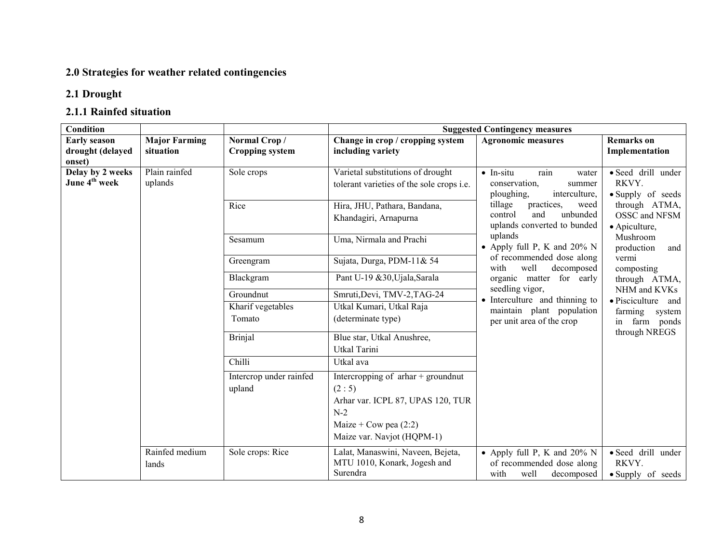### 2.0 Strategies for weather related contingencies

## 2.1 Drought

## 2.1.1 Rainfed situation

| Condition                                     |                          |                         |                                                                                       | <b>Suggested Contingency measures</b>                                                                 |                                                  |
|-----------------------------------------------|--------------------------|-------------------------|---------------------------------------------------------------------------------------|-------------------------------------------------------------------------------------------------------|--------------------------------------------------|
| <b>Early season</b>                           | <b>Major Farming</b>     | Normal Crop/            | Change in crop / cropping system                                                      | <b>Agronomic measures</b>                                                                             | <b>Remarks</b> on                                |
| drought (delayed<br>onset)                    | situation                | <b>Cropping system</b>  | including variety                                                                     |                                                                                                       | Implementation                                   |
| Delay by 2 weeks<br>June 4 <sup>th</sup> week | Plain rainfed<br>uplands | Sole crops              | Varietal substitutions of drought<br>tolerant varieties of the sole crops <i>i.e.</i> | $\bullet$ In-situ<br>rain<br>water<br>RKVY.<br>conservation,<br>summer<br>interculture,<br>ploughing, | · Seed drill under<br>• Supply of seeds          |
|                                               |                          | Rice                    | Hira, JHU, Pathara, Bandana,<br>Khandagiri, Arnapurna                                 | tillage<br>practices,<br>weed<br>unbunded<br>control<br>and<br>uplands converted to bunded            | through ATMA,<br>OSSC and NFSM<br>· Apiculture,  |
|                                               |                          | Sesamum                 | Uma, Nirmala and Prachi                                                               | uplands<br>• Apply full P, K and 20% N                                                                | Mushroom<br>production<br>and                    |
|                                               |                          | Greengram               | Sujata, Durga, PDM-11& 54                                                             | of recommended dose along<br>well<br>with<br>decomposed                                               | vermi<br>composting                              |
|                                               |                          | Blackgram               | Pant U-19 &30, Ujala, Sarala                                                          | organic matter for early                                                                              | through ATMA,                                    |
|                                               |                          | Groundnut               | Smruti, Devi, TMV-2, TAG-24                                                           | seedling vigor,<br>• Interculture and thinning to                                                     | NHM and KVKs<br>• Pisciculture and               |
|                                               |                          | Kharif vegetables       | Utkal Kumari, Utkal Raja                                                              | maintain plant population                                                                             | farming system                                   |
|                                               |                          | Tomato                  | (determinate type)                                                                    | per unit area of the crop                                                                             | in farm ponds<br>through NREGS                   |
|                                               |                          | <b>Brinjal</b>          | Blue star, Utkal Anushree,                                                            |                                                                                                       |                                                  |
|                                               |                          |                         | Utkal Tarini                                                                          |                                                                                                       |                                                  |
|                                               |                          | Chilli                  | Utkal ava                                                                             |                                                                                                       |                                                  |
|                                               |                          | Intercrop under rainfed | Intercropping of $\pi$ har + groundnut                                                |                                                                                                       |                                                  |
|                                               |                          | upland                  | (2:5)                                                                                 |                                                                                                       |                                                  |
|                                               |                          |                         | Arhar var. ICPL 87, UPAS 120, TUR                                                     |                                                                                                       |                                                  |
|                                               |                          |                         | $N-2$                                                                                 |                                                                                                       |                                                  |
|                                               |                          |                         | Maize + Cow pea $(2:2)$<br>Maize var. Navjot (HQPM-1)                                 |                                                                                                       |                                                  |
|                                               | Rainfed medium<br>lands  | Sole crops: Rice        | Lalat, Manaswini, Naveen, Bejeta,<br>MTU 1010, Konark, Jogesh and<br>Surendra         | • Apply full P, K and $20\%$ N<br>of recommended dose along<br>well<br>with<br>decomposed             | · Seed drill under<br>RKVY.<br>• Supply of seeds |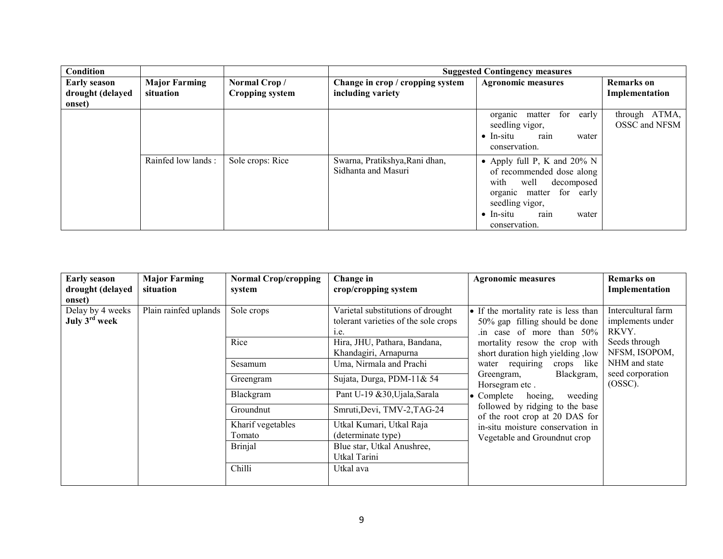| <b>Condition</b>                                  |                                   |                                        |                                                       | <b>Suggested Contingency measures</b>                                                                                                                                                           |                                     |
|---------------------------------------------------|-----------------------------------|----------------------------------------|-------------------------------------------------------|-------------------------------------------------------------------------------------------------------------------------------------------------------------------------------------------------|-------------------------------------|
| <b>Early season</b><br>drought (delayed<br>onset) | <b>Major Farming</b><br>situation | Normal Crop/<br><b>Cropping system</b> | Change in crop / cropping system<br>including variety | <b>Agronomic measures</b>                                                                                                                                                                       | <b>Remarks</b> on<br>Implementation |
|                                                   |                                   |                                        |                                                       | for<br>early<br>organic matter<br>seedling vigor,<br>rain<br>$\bullet$ In-situ<br>water<br>conservation.                                                                                        | ATMA,<br>through<br>OSSC and NFSM   |
|                                                   | Rainfed low lands:                | Sole crops: Rice                       | Swarna, Pratikshya, Rani dhan,<br>Sidhanta and Masuri | • Apply full P, K and $20\%$ N<br>of recommended dose along<br>well<br>with<br>decomposed<br>organic matter for early<br>seedling vigor,<br>$\bullet$ In-situ<br>rain<br>water<br>conservation. |                                     |

| <b>Early season</b><br>drought (delayed<br>onset) | <b>Major Farming</b><br>situation | <b>Normal Crop/cropping</b><br>system | Change in<br>crop/cropping system                                                 | <b>Agronomic measures</b>                                                                             | <b>Remarks</b> on<br>Implementation             |
|---------------------------------------------------|-----------------------------------|---------------------------------------|-----------------------------------------------------------------------------------|-------------------------------------------------------------------------------------------------------|-------------------------------------------------|
| Delay by 4 weeks<br>July $3rd$ week               | Plain rainfed uplands             | Sole crops                            | Varietal substitutions of drought<br>tolerant varieties of the sole crops<br>1.e. | • If the mortality rate is less than<br>50% gap filling should be done<br>in case of more than $50\%$ | Intercultural farm<br>implements under<br>RKVY. |
|                                                   |                                   | Rice                                  | Hira, JHU, Pathara, Bandana,<br>Khandagiri, Arnapurna                             | mortality resow the crop with<br>short duration high yielding , low                                   | Seeds through<br>NFSM, ISOPOM,                  |
|                                                   |                                   | Sesamum                               | Uma, Nirmala and Prachi                                                           | water requiring<br>crops like                                                                         | NHM and state                                   |
|                                                   |                                   | Greengram                             | Sujata, Durga, PDM-11& 54                                                         | Blackgram,<br>Greengram,<br>Horsegram etc.                                                            | seed corporation<br>(OSSC).                     |
|                                                   |                                   | Blackgram                             | Pant U-19 & 30, Ujala, Sarala                                                     | $\bullet$ Complete<br>hoeing,<br>weeding                                                              |                                                 |
|                                                   |                                   | Groundnut                             | Smruti, Devi, TMV-2, TAG-24                                                       | followed by ridging to the base<br>of the root crop at 20 DAS for                                     |                                                 |
|                                                   |                                   | Kharif vegetables                     | Utkal Kumari, Utkal Raja                                                          | in-situ moisture conservation in                                                                      |                                                 |
|                                                   |                                   | Tomato                                | (determinate type)                                                                | Vegetable and Groundnut crop                                                                          |                                                 |
|                                                   |                                   | <b>Brinjal</b>                        | Blue star, Utkal Anushree,<br>Utkal Tarini                                        |                                                                                                       |                                                 |
|                                                   |                                   | Chilli                                | Utkal ava                                                                         |                                                                                                       |                                                 |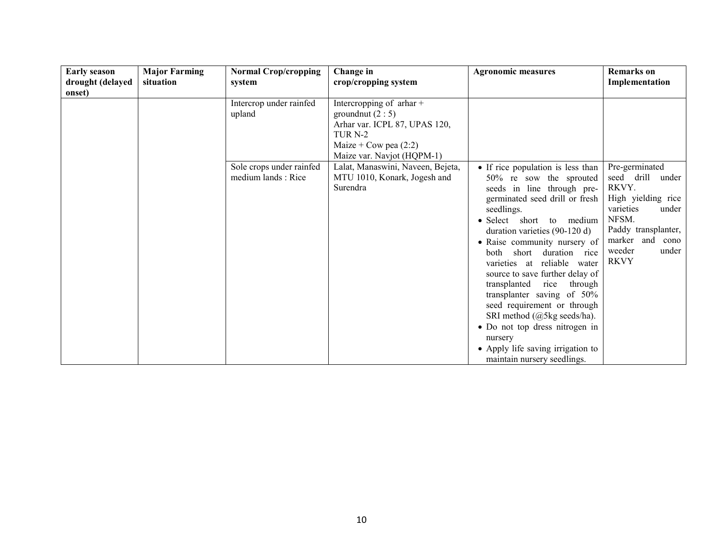| <b>Early season</b><br>drought (delayed<br>onset) | <b>Major Farming</b><br>situation | <b>Normal Crop/cropping</b><br>system          | Change in<br>crop/cropping system                                                                                                                                   | <b>Agronomic measures</b>                                                                                                                                                                                                                                                                                                                                                                                                                                                                                                                                                                       | <b>Remarks</b> on<br>Implementation                                                                                                                                             |
|---------------------------------------------------|-----------------------------------|------------------------------------------------|---------------------------------------------------------------------------------------------------------------------------------------------------------------------|-------------------------------------------------------------------------------------------------------------------------------------------------------------------------------------------------------------------------------------------------------------------------------------------------------------------------------------------------------------------------------------------------------------------------------------------------------------------------------------------------------------------------------------------------------------------------------------------------|---------------------------------------------------------------------------------------------------------------------------------------------------------------------------------|
|                                                   |                                   | Intercrop under rainfed<br>upland              | Intercropping of $\pi$ thar +<br>ground nut $(2:5)$<br>Arhar var. ICPL 87, UPAS 120,<br>TUR <sub>N-2</sub><br>Maize + Cow pea $(2:2)$<br>Maize var. Navjot (HQPM-1) |                                                                                                                                                                                                                                                                                                                                                                                                                                                                                                                                                                                                 |                                                                                                                                                                                 |
|                                                   |                                   | Sole crops under rainfed<br>medium lands: Rice | Lalat, Manaswini, Naveen, Bejeta,<br>MTU 1010, Konark, Jogesh and<br>Surendra                                                                                       | • If rice population is less than<br>50% re sow the sprouted<br>seeds in line through pre-<br>germinated seed drill or fresh<br>seedlings.<br>• Select short to medium<br>duration varieties (90-120 d)<br>• Raise community nursery of<br>short duration rice<br><b>both</b><br>varieties at reliable water<br>source to save further delay of<br>transplanted<br>rice<br>through<br>transplanter saving of 50%<br>seed requirement or through<br>SRI method (@5kg seeds/ha).<br>• Do not top dress nitrogen in<br>nursery<br>• Apply life saving irrigation to<br>maintain nursery seedlings. | Pre-germinated<br>seed drill<br>under<br>RKVY.<br>High yielding rice<br>varieties<br>under<br>NFSM.<br>Paddy transplanter,<br>marker and cono<br>weeder<br>under<br><b>RKVY</b> |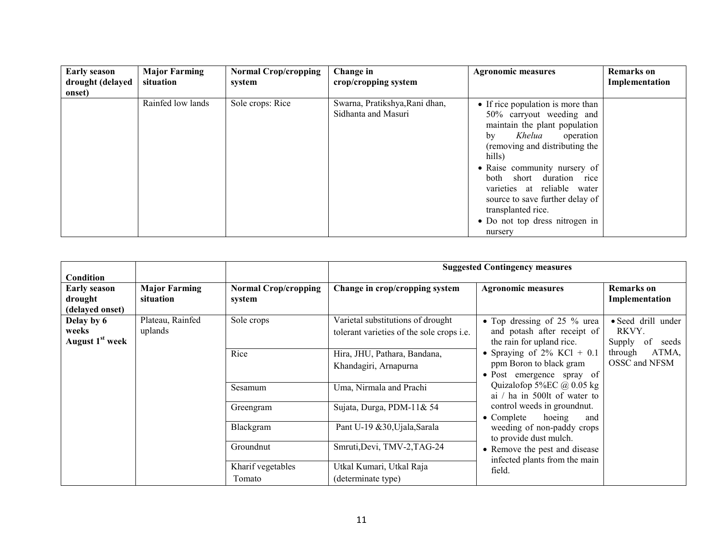| <b>Early season</b>        | <b>Major Farming</b><br>situation | <b>Normal Crop/cropping</b> | Change in                                             | <b>Agronomic measures</b>                                                                                                                                                                                                                                                                                                                                                   | <b>Remarks</b> on |
|----------------------------|-----------------------------------|-----------------------------|-------------------------------------------------------|-----------------------------------------------------------------------------------------------------------------------------------------------------------------------------------------------------------------------------------------------------------------------------------------------------------------------------------------------------------------------------|-------------------|
| drought (delayed<br>onset) |                                   | system                      | crop/cropping system                                  |                                                                                                                                                                                                                                                                                                                                                                             | Implementation    |
|                            | Rainfed low lands                 | Sole crops: Rice            | Swarna, Pratikshya, Rani dhan,<br>Sidhanta and Masuri | • If rice population is more than<br>50% carryout weeding and<br>maintain the plant population<br>Khelua<br>operation<br>bv<br>(removing and distributing the<br>hills)<br>• Raise community nursery of<br>both short duration rice<br>varieties at reliable<br>water<br>source to save further delay of<br>transplanted rice.<br>• Do not top dress nitrogen in<br>nursery |                   |

| <b>Condition</b>                                   |                                                               |                                                                                       |                                                                                       | <b>Suggested Contingency measures</b>                                                                      |                                                      |
|----------------------------------------------------|---------------------------------------------------------------|---------------------------------------------------------------------------------------|---------------------------------------------------------------------------------------|------------------------------------------------------------------------------------------------------------|------------------------------------------------------|
| <b>Early season</b><br>drought<br>(delayed onset)  | <b>Major Farming</b><br>situation                             | <b>Normal Crop/cropping</b><br>system                                                 | Change in crop/cropping system                                                        | <b>Agronomic measures</b>                                                                                  | Remarks on<br>Implementation                         |
| Delay by 6<br>weeks<br>August 1 <sup>st</sup> week | Plateau, Rainfed<br>uplands                                   | Sole crops                                                                            | Varietal substitutions of drought<br>tolerant varieties of the sole crops <i>i.e.</i> | $\overline{\bullet}$ Top dressing of 25 % urea<br>and potash after receipt of<br>the rain for upland rice. | • Seed drill under<br>RKVY.<br>of<br>Supply<br>seeds |
|                                                    | Hira, JHU, Pathara, Bandana,<br>Rice<br>Khandagiri, Arnapurna | • Spraying of $2\%$ KCl + 0.1<br>ppm Boron to black gram<br>• Post emergence spray of | ATMA,<br>through<br>OSSC and NFSM                                                     |                                                                                                            |                                                      |
|                                                    |                                                               | Sesamum                                                                               | Uma, Nirmala and Prachi                                                               | Quizalofop 5%EC $@0.05$ kg<br>ai / ha in 500lt of water to                                                 |                                                      |
|                                                    |                                                               | Greengram                                                                             | Sujata, Durga, PDM-11& 54                                                             | control weeds in groundnut.<br>$\bullet$ Complete<br>hoeing<br>and                                         |                                                      |
|                                                    |                                                               | Blackgram                                                                             | Pant U-19 & 30, Ujala, Sarala                                                         | weeding of non-paddy crops<br>to provide dust mulch.                                                       |                                                      |
|                                                    |                                                               | Groundnut                                                                             | Smruti, Devi, TMV-2, TAG-24                                                           | • Remove the pest and disease<br>infected plants from the main                                             |                                                      |
|                                                    |                                                               | Kharif vegetables<br>Tomato                                                           | Utkal Kumari, Utkal Raja<br>(determinate type)                                        | field.                                                                                                     |                                                      |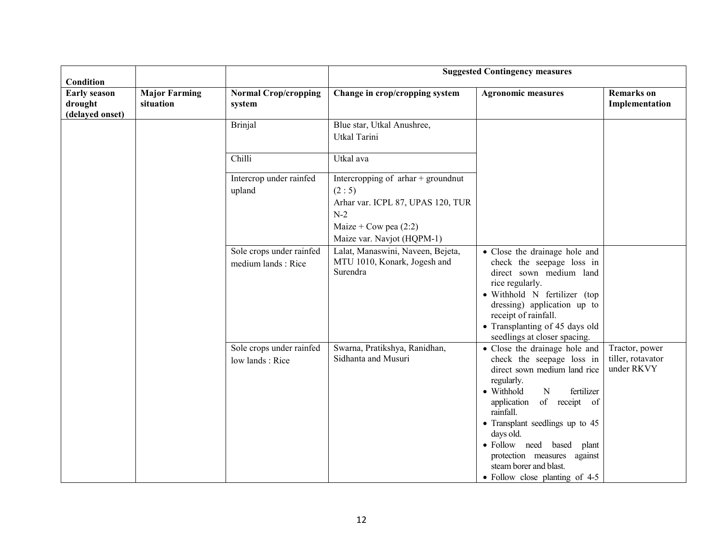| Condition                                         |                                   |                                                |                                                                                                                                                      | <b>Suggested Contingency measures</b>                                                                                                                                                                                                                                                                                                                                    |                                                   |
|---------------------------------------------------|-----------------------------------|------------------------------------------------|------------------------------------------------------------------------------------------------------------------------------------------------------|--------------------------------------------------------------------------------------------------------------------------------------------------------------------------------------------------------------------------------------------------------------------------------------------------------------------------------------------------------------------------|---------------------------------------------------|
| <b>Early season</b><br>drought<br>(delayed onset) | <b>Major Farming</b><br>situation | <b>Normal Crop/cropping</b><br>system          | Change in crop/cropping system                                                                                                                       | <b>Agronomic measures</b>                                                                                                                                                                                                                                                                                                                                                | <b>Remarks</b> on<br>Implementation               |
|                                                   |                                   | <b>Brinjal</b>                                 | Blue star, Utkal Anushree,<br><b>Utkal Tarini</b>                                                                                                    |                                                                                                                                                                                                                                                                                                                                                                          |                                                   |
|                                                   |                                   | Chilli                                         | Utkal ava                                                                                                                                            |                                                                                                                                                                                                                                                                                                                                                                          |                                                   |
|                                                   |                                   | Intercrop under rainfed<br>upland              | Intercropping of $arhar +$ groundnut<br>(2:5)<br>Arhar var. ICPL 87, UPAS 120, TUR<br>$N-2$<br>Maize + Cow pea $(2:2)$<br>Maize var. Navjot (HQPM-1) |                                                                                                                                                                                                                                                                                                                                                                          |                                                   |
|                                                   |                                   | Sole crops under rainfed<br>medium lands: Rice | Lalat, Manaswini, Naveen, Bejeta,<br>MTU 1010, Konark, Jogesh and<br>Surendra                                                                        | • Close the drainage hole and<br>check the seepage loss in<br>direct sown medium land<br>rice regularly.<br>· Withhold N fertilizer (top<br>dressing) application up to<br>receipt of rainfall.<br>• Transplanting of 45 days old<br>seedlings at closer spacing.                                                                                                        |                                                   |
|                                                   |                                   | Sole crops under rainfed<br>low lands: Rice    | Swarna, Pratikshya, Ranidhan,<br>Sidhanta and Musuri                                                                                                 | • Close the drainage hole and<br>check the seepage loss in<br>direct sown medium land rice<br>regularly.<br>• Withhold<br>fertilizer<br>$\mathbf N$<br>application<br>of receipt of<br>rainfall.<br>• Transplant seedlings up to 45<br>days old.<br>· Follow need based plant<br>protection measures against<br>steam borer and blast.<br>• Follow close planting of 4-5 | Tractor, power<br>tiller, rotavator<br>under RKVY |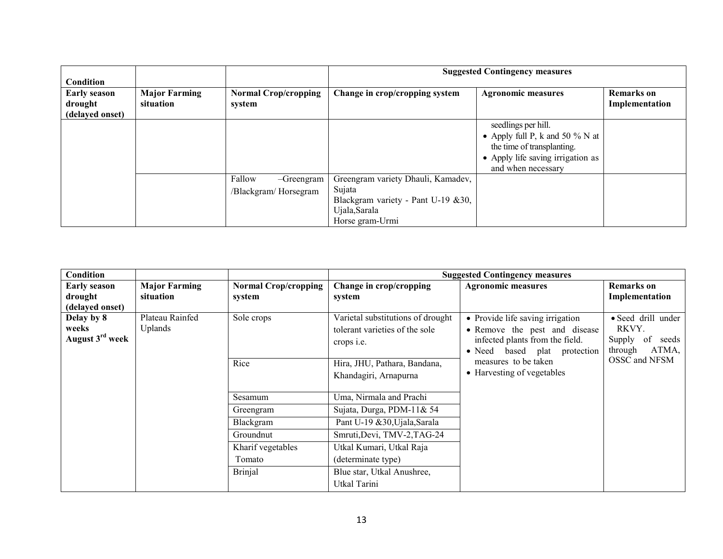| <b>Condition</b>                                  |                                   |                                                 | <b>Suggested Contingency measures</b>                                                                                  |                                                                                                                                                    |                                     |  |
|---------------------------------------------------|-----------------------------------|-------------------------------------------------|------------------------------------------------------------------------------------------------------------------------|----------------------------------------------------------------------------------------------------------------------------------------------------|-------------------------------------|--|
| <b>Early season</b><br>drought<br>(delayed onset) | <b>Major Farming</b><br>situation | <b>Normal Crop/cropping</b><br>system           | Change in crop/cropping system                                                                                         | <b>Agronomic measures</b>                                                                                                                          | <b>Remarks</b> on<br>Implementation |  |
|                                                   |                                   |                                                 |                                                                                                                        | seedlings per hill.<br>• Apply full P, k and 50 $\%$ N at<br>the time of transplanting.<br>• Apply life saving irrigation as<br>and when necessary |                                     |  |
|                                                   |                                   | Fallow<br>$-Greengram$<br>/Blackgram/ Horsegram | Greengram variety Dhauli, Kamadev,<br>Sujata<br>Blackgram variety - Pant U-19 &30,<br>Ujala, Sarala<br>Horse gram-Urmi |                                                                                                                                                    |                                     |  |

| <b>Condition</b>                                   |                                   |                                       |                                                                                          | <b>Suggested Contingency measures</b>                                                                                                                                                      |                                                                          |
|----------------------------------------------------|-----------------------------------|---------------------------------------|------------------------------------------------------------------------------------------|--------------------------------------------------------------------------------------------------------------------------------------------------------------------------------------------|--------------------------------------------------------------------------|
| <b>Early season</b><br>drought                     | <b>Major Farming</b><br>situation | <b>Normal Crop/cropping</b><br>system | Change in crop/cropping<br>system                                                        | <b>Agronomic measures</b>                                                                                                                                                                  | Remarks on<br>Implementation                                             |
| (delayed onset)                                    |                                   |                                       |                                                                                          |                                                                                                                                                                                            |                                                                          |
| Delay by 8<br>weeks<br>August 3 <sup>rd</sup> week | Plateau Rainfed<br><b>Uplands</b> | Sole crops                            | Varietal substitutions of drought<br>tolerant varieties of the sole<br>crops <i>i.e.</i> | • Provide life saving irrigation<br>• Remove the pest and disease<br>infected plants from the field.<br>• Need based plat protection<br>measures to be taken<br>• Harvesting of vegetables | • Seed drill under<br>RKVY.<br>Supply<br>of<br>seeds<br>ATMA,<br>through |
|                                                    |                                   | Rice                                  | Hira, JHU, Pathara, Bandana,<br>Khandagiri, Arnapurna                                    |                                                                                                                                                                                            | OSSC and NFSM                                                            |
|                                                    |                                   | Sesamum                               | Uma, Nirmala and Prachi                                                                  |                                                                                                                                                                                            |                                                                          |
|                                                    |                                   | Greengram                             | Sujata, Durga, PDM-11& 54                                                                |                                                                                                                                                                                            |                                                                          |
|                                                    |                                   | Blackgram                             | Pant U-19 &30, Ujala, Sarala                                                             |                                                                                                                                                                                            |                                                                          |
|                                                    |                                   | Groundnut                             | Smruti, Devi, TMV-2, TAG-24                                                              |                                                                                                                                                                                            |                                                                          |
|                                                    |                                   | Kharif vegetables                     | Utkal Kumari, Utkal Raja                                                                 |                                                                                                                                                                                            |                                                                          |
|                                                    |                                   | Tomato                                | (determinate type)                                                                       |                                                                                                                                                                                            |                                                                          |
|                                                    |                                   | <b>Brinjal</b>                        | Blue star, Utkal Anushree,<br>Utkal Tarini                                               |                                                                                                                                                                                            |                                                                          |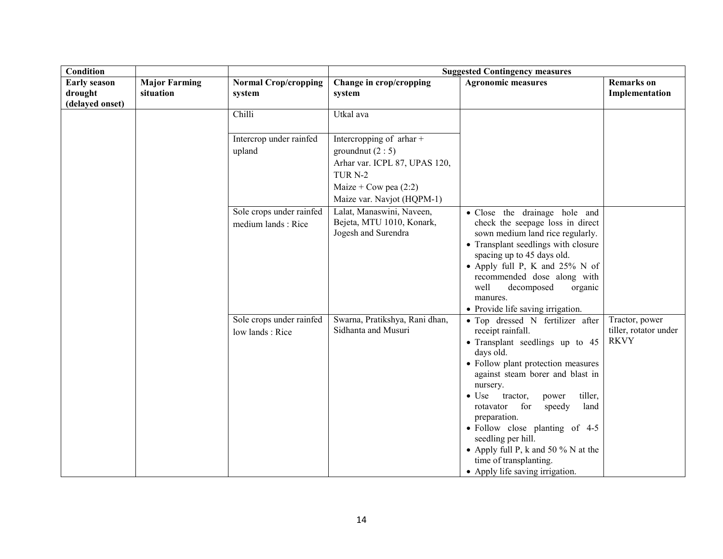| <b>Condition</b>                                  |                                   |                                                | <b>Suggested Contingency measures</b>                                                                                                                               |                                                                                                                                                                                                                                                                                                                                                                                                                                                                |                                                        |
|---------------------------------------------------|-----------------------------------|------------------------------------------------|---------------------------------------------------------------------------------------------------------------------------------------------------------------------|----------------------------------------------------------------------------------------------------------------------------------------------------------------------------------------------------------------------------------------------------------------------------------------------------------------------------------------------------------------------------------------------------------------------------------------------------------------|--------------------------------------------------------|
| <b>Early season</b><br>drought<br>(delayed onset) | <b>Major Farming</b><br>situation | <b>Normal Crop/cropping</b><br>system          | Change in crop/cropping<br>system                                                                                                                                   | <b>Agronomic measures</b>                                                                                                                                                                                                                                                                                                                                                                                                                                      | <b>Remarks</b> on<br>Implementation                    |
|                                                   |                                   | Chilli                                         | Utkal ava                                                                                                                                                           |                                                                                                                                                                                                                                                                                                                                                                                                                                                                |                                                        |
|                                                   |                                   | Intercrop under rainfed<br>upland              | Intercropping of $\pi$ thar +<br>ground nut $(2:5)$<br>Arhar var. ICPL 87, UPAS 120,<br>TUR <sub>N-2</sub><br>Maize + Cow pea $(2:2)$<br>Maize var. Navjot (HQPM-1) |                                                                                                                                                                                                                                                                                                                                                                                                                                                                |                                                        |
|                                                   |                                   | Sole crops under rainfed<br>medium lands: Rice | Lalat, Manaswini, Naveen,<br>Bejeta, MTU 1010, Konark,<br>Jogesh and Surendra                                                                                       | · Close the drainage hole and<br>check the seepage loss in direct<br>sown medium land rice regularly.<br>• Transplant seedlings with closure<br>spacing up to 45 days old.<br>• Apply full P, K and $25\%$ N of<br>recommended dose along with<br>well<br>decomposed<br>organic<br>manures.<br>• Provide life saving irrigation.                                                                                                                               |                                                        |
|                                                   |                                   | Sole crops under rainfed<br>low lands: Rice    | Swarna, Pratikshya, Rani dhan,<br>Sidhanta and Musuri                                                                                                               | • Top dressed N fertilizer after<br>receipt rainfall.<br>• Transplant seedlings up to 45<br>days old.<br>• Follow plant protection measures<br>against steam borer and blast in<br>nursery.<br>$\bullet$ Use<br>tiller,<br>tractor,<br>power<br>for<br>speedy<br>land<br>rotavator<br>preparation.<br>• Follow close planting of 4-5<br>seedling per hill.<br>• Apply full P, k and 50 % N at the<br>time of transplanting.<br>• Apply life saving irrigation. | Tractor, power<br>tiller, rotator under<br><b>RKVY</b> |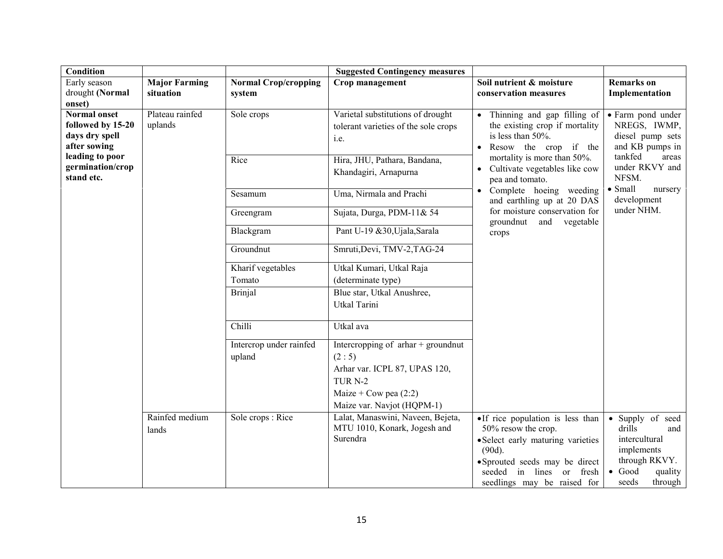| <b>Condition</b>                                                                                                                |                                   |                                       | <b>Suggested Contingency measures</b>                                                                                                                           |                                                                                                                                                                                                            |                                                                                                                                                       |
|---------------------------------------------------------------------------------------------------------------------------------|-----------------------------------|---------------------------------------|-----------------------------------------------------------------------------------------------------------------------------------------------------------------|------------------------------------------------------------------------------------------------------------------------------------------------------------------------------------------------------------|-------------------------------------------------------------------------------------------------------------------------------------------------------|
| Early season<br>drought (Normal                                                                                                 | <b>Major Farming</b><br>situation | <b>Normal Crop/cropping</b><br>system | Crop management                                                                                                                                                 | Soil nutrient & moisture<br>conservation measures                                                                                                                                                          | <b>Remarks</b> on<br>Implementation                                                                                                                   |
| onset)                                                                                                                          |                                   |                                       |                                                                                                                                                                 |                                                                                                                                                                                                            |                                                                                                                                                       |
| <b>Normal onset</b><br>followed by 15-20<br>days dry spell<br>after sowing<br>leading to poor<br>germination/crop<br>stand etc. | Plateau rainfed<br>uplands        | Sole crops                            | Varietal substitutions of drought<br>tolerant varieties of the sole crops<br>i.e.                                                                               | • Thinning and gap filling of<br>the existing crop if mortality<br>is less than 50%.<br>• Resow the crop if the<br>mortality is more than 50%.<br>• Cultivate vegetables like cow<br>pea and tomato.       | • Farm pond under<br>NREGS, IWMP,<br>diesel pump sets<br>and KB pumps in<br>tankfed<br>areas<br>under RKVY and<br>NFSM.<br>$\bullet$ Small<br>nursery |
|                                                                                                                                 |                                   | Rice                                  | Hira, JHU, Pathara, Bandana,<br>Khandagiri, Arnapurna                                                                                                           |                                                                                                                                                                                                            |                                                                                                                                                       |
|                                                                                                                                 |                                   | Sesamum                               | Uma, Nirmala and Prachi                                                                                                                                         | • Complete hoeing weeding<br>and earthling up at 20 DAS                                                                                                                                                    | development                                                                                                                                           |
|                                                                                                                                 |                                   | Greengram                             | Sujata, Durga, PDM-11& 54                                                                                                                                       | for moisture conservation for<br>groundnut and<br>vegetable                                                                                                                                                | under NHM.                                                                                                                                            |
|                                                                                                                                 |                                   | Blackgram                             | Pant U-19 &30, Ujala, Sarala                                                                                                                                    | crops                                                                                                                                                                                                      |                                                                                                                                                       |
|                                                                                                                                 |                                   | Groundnut                             | Smruti, Devi, TMV-2, TAG-24                                                                                                                                     |                                                                                                                                                                                                            |                                                                                                                                                       |
|                                                                                                                                 |                                   | Kharif vegetables                     | Utkal Kumari, Utkal Raja                                                                                                                                        |                                                                                                                                                                                                            |                                                                                                                                                       |
|                                                                                                                                 |                                   | Tomato                                | (determinate type)                                                                                                                                              |                                                                                                                                                                                                            |                                                                                                                                                       |
|                                                                                                                                 |                                   | <b>Brinjal</b>                        | Blue star, Utkal Anushree,<br><b>Utkal Tarini</b>                                                                                                               |                                                                                                                                                                                                            |                                                                                                                                                       |
|                                                                                                                                 |                                   | Chilli                                | Utkal ava                                                                                                                                                       |                                                                                                                                                                                                            |                                                                                                                                                       |
|                                                                                                                                 |                                   | Intercrop under rainfed<br>upland     | Intercropping of $\pi$ har + groundnut<br>(2:5)<br>Arhar var. ICPL 87, UPAS 120,<br>TUR <sub>N-2</sub><br>Maize + Cow pea $(2:2)$<br>Maize var. Navjot (HQPM-1) |                                                                                                                                                                                                            |                                                                                                                                                       |
|                                                                                                                                 | Rainfed medium<br>lands           | Sole crops: Rice                      | Lalat, Manaswini, Naveen, Bejeta,<br>MTU 1010, Konark, Jogesh and<br>Surendra                                                                                   | • If rice population is less than<br>50% resow the crop.<br>• Select early maturing varieties<br>$(90d)$ .<br>• Sprouted seeds may be direct<br>in lines or fresh<br>seeded<br>seedlings may be raised for | Supply of seed<br>$\bullet$<br>drills<br>and<br>intercultural<br>implements<br>through RKVY.<br>$\bullet$ Good<br>quality<br>seeds<br>through         |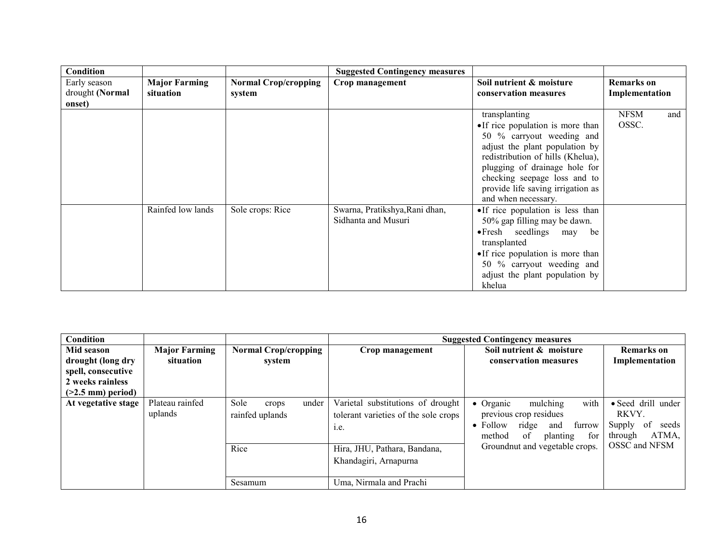| <b>Condition</b> |                      |                             | <b>Suggested Contingency measures</b> |                                        |                    |  |
|------------------|----------------------|-----------------------------|---------------------------------------|----------------------------------------|--------------------|--|
| Early season     | <b>Major Farming</b> | <b>Normal Crop/cropping</b> | Crop management                       | Soil nutrient & moisture               | <b>Remarks</b> on  |  |
| drought (Normal  | situation            | system                      |                                       | conservation measures                  | Implementation     |  |
| onset)           |                      |                             |                                       |                                        |                    |  |
|                  |                      |                             |                                       | transplanting                          | <b>NFSM</b><br>and |  |
|                  |                      |                             |                                       | • If rice population is more than      | OSSC.              |  |
|                  |                      |                             |                                       | 50 % carryout weeding and              |                    |  |
|                  |                      |                             |                                       | adjust the plant population by         |                    |  |
|                  |                      |                             |                                       | redistribution of hills (Khelua),      |                    |  |
|                  |                      |                             |                                       | plugging of drainage hole for          |                    |  |
|                  |                      |                             |                                       | checking seepage loss and to           |                    |  |
|                  |                      |                             |                                       | provide life saving irrigation as      |                    |  |
|                  |                      |                             |                                       | and when necessary.                    |                    |  |
|                  | Rainfed low lands    | Sole crops: Rice            | Swarna, Pratikshya, Rani dhan,        | • If rice population is less than      |                    |  |
|                  |                      |                             | Sidhanta and Musuri                   | 50% gap filling may be dawn.           |                    |  |
|                  |                      |                             |                                       | $\bullet$ Fresh seedlings<br>may<br>be |                    |  |
|                  |                      |                             |                                       | transplanted                           |                    |  |
|                  |                      |                             |                                       | •If rice population is more than       |                    |  |
|                  |                      |                             |                                       | 50 % carryout weeding and              |                    |  |
|                  |                      |                             |                                       | adjust the plant population by         |                    |  |
|                  |                      |                             |                                       | khelua                                 |                    |  |

| <b>Condition</b>    |                            |                                                   | <b>Suggested Contingency measures</b>                                                                             |                                                                                                                                                                                    |                                                                                           |
|---------------------|----------------------------|---------------------------------------------------|-------------------------------------------------------------------------------------------------------------------|------------------------------------------------------------------------------------------------------------------------------------------------------------------------------------|-------------------------------------------------------------------------------------------|
| Mid season          | <b>Major Farming</b>       | <b>Normal Crop/cropping</b>                       | Crop management                                                                                                   | Soil nutrient & moisture                                                                                                                                                           | Remarks on                                                                                |
| drought (long dry   | situation                  | system                                            |                                                                                                                   | conservation measures                                                                                                                                                              | Implementation                                                                            |
| spell, consecutive  |                            |                                                   |                                                                                                                   |                                                                                                                                                                                    |                                                                                           |
| 2 weeks rainless    |                            |                                                   |                                                                                                                   |                                                                                                                                                                                    |                                                                                           |
| $(>2.5$ mm) period) |                            |                                                   |                                                                                                                   |                                                                                                                                                                                    |                                                                                           |
| At vegetative stage | Plateau rainfed<br>uplands | Sole<br>under<br>crops<br>rainfed uplands<br>Rice | Varietal substitutions of drought<br>tolerant varieties of the sole crops<br>1.e.<br>Hira, JHU, Pathara, Bandana, | with<br>$\bullet$ Organic<br>mulching<br>previous crop residues<br>$\bullet$ Follow<br>furrow<br>ridge<br>and<br>for<br>method<br>of<br>planting<br>Groundnut and vegetable crops. | • Seed drill under<br>RKVY.<br>of<br>seeds<br>Supply<br>ATMA,<br>through<br>OSSC and NFSM |
|                     |                            | Sesamum                                           | Khandagiri, Arnapurna<br>Uma, Nirmala and Prachi                                                                  |                                                                                                                                                                                    |                                                                                           |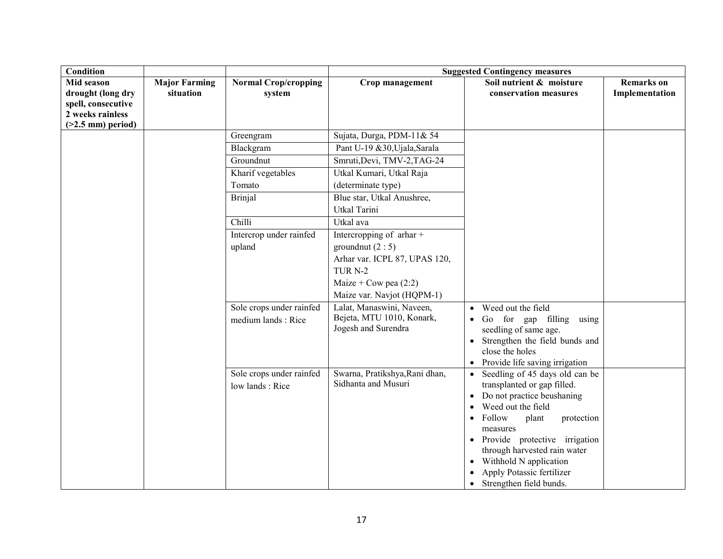| <b>Condition</b>                                                                                  |                                   |                                                                                                                                     | <b>Suggested Contingency measures</b>                                                                                                                                                                                                                                                                                                          |                                                                                                                                                                                                                                                                                                                                                 |                                     |  |
|---------------------------------------------------------------------------------------------------|-----------------------------------|-------------------------------------------------------------------------------------------------------------------------------------|------------------------------------------------------------------------------------------------------------------------------------------------------------------------------------------------------------------------------------------------------------------------------------------------------------------------------------------------|-------------------------------------------------------------------------------------------------------------------------------------------------------------------------------------------------------------------------------------------------------------------------------------------------------------------------------------------------|-------------------------------------|--|
| Mid season<br>drought (long dry<br>spell, consecutive<br>2 weeks rainless<br>$($ >2.5 mm) period) | <b>Major Farming</b><br>situation | <b>Normal Crop/cropping</b><br>system                                                                                               | Crop management                                                                                                                                                                                                                                                                                                                                | Soil nutrient & moisture<br>conservation measures                                                                                                                                                                                                                                                                                               | <b>Remarks</b> on<br>Implementation |  |
|                                                                                                   |                                   | Greengram<br>Blackgram<br>Groundnut<br>Kharif vegetables<br>Tomato<br><b>Brinjal</b><br>Chilli<br>Intercrop under rainfed<br>upland | Sujata, Durga, PDM-11& 54<br>Pant U-19 &30, Ujala, Sarala<br>Smruti, Devi, TMV-2, TAG-24<br>Utkal Kumari, Utkal Raja<br>(determinate type)<br>Blue star, Utkal Anushree,<br>Utkal Tarini<br>Utkal ava<br>Intercropping of $\pi$ thar +<br>ground nut $(2:5)$<br>Arhar var. ICPL 87, UPAS 120,<br>TUR <sub>N-2</sub><br>Maize + Cow pea $(2:2)$ |                                                                                                                                                                                                                                                                                                                                                 |                                     |  |
|                                                                                                   |                                   | Sole crops under rainfed<br>medium lands: Rice                                                                                      | Maize var. Navjot (HQPM-1)<br>Lalat, Manaswini, Naveen,<br>Bejeta, MTU 1010, Konark,<br>Jogesh and Surendra                                                                                                                                                                                                                                    | Weed out the field<br>$\bullet$<br>Go for gap filling<br>using<br>$\bullet$<br>seedling of same age.<br>Strengthen the field bunds and<br>close the holes<br>• Provide life saving irrigation                                                                                                                                                   |                                     |  |
|                                                                                                   |                                   | Sole crops under rainfed<br>low lands: Rice                                                                                         | Swarna, Pratikshya, Rani dhan,<br>Sidhanta and Musuri                                                                                                                                                                                                                                                                                          | • Seedling of 45 days old can be<br>transplanted or gap filled.<br>Do not practice beushaning<br>$\bullet$<br>Weed out the field<br>Follow<br>plant<br>protection<br>$\bullet$<br>measures<br>• Provide protective irrigation<br>through harvested rain water<br>Withhold N application<br>Apply Potassic fertilizer<br>Strengthen field bunds. |                                     |  |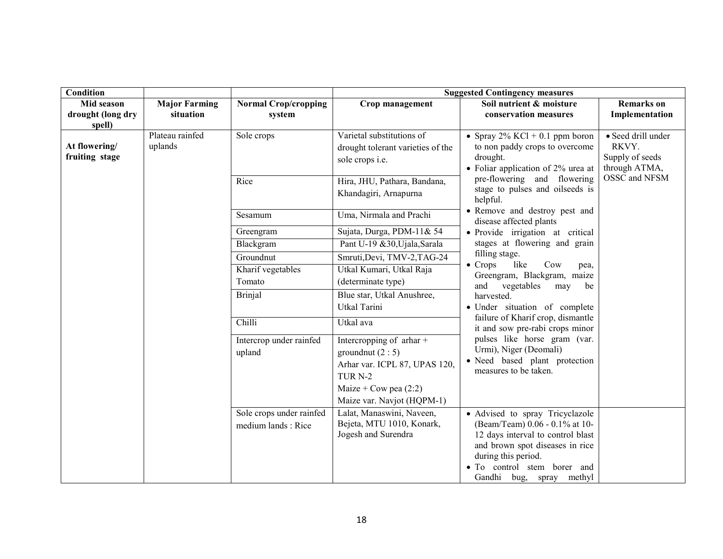| <b>Condition</b>                          |                            |                                                | <b>Suggested Contingency measures</b>                                                                                                                         |                                                                                                                                                                                                                             |                                                                 |  |
|-------------------------------------------|----------------------------|------------------------------------------------|---------------------------------------------------------------------------------------------------------------------------------------------------------------|-----------------------------------------------------------------------------------------------------------------------------------------------------------------------------------------------------------------------------|-----------------------------------------------------------------|--|
| Mid season                                | <b>Major Farming</b>       | <b>Normal Crop/cropping</b>                    | Crop management                                                                                                                                               | Soil nutrient & moisture                                                                                                                                                                                                    | <b>Remarks</b> on                                               |  |
| drought (long dry                         | situation                  | system                                         |                                                                                                                                                               | conservation measures                                                                                                                                                                                                       | Implementation                                                  |  |
| spell)<br>At flowering/<br>fruiting stage | Plateau rainfed<br>uplands | Sole crops                                     | Varietal substitutions of<br>drought tolerant varieties of the<br>sole crops i.e.                                                                             | • Spray $2\%$ KCl + 0.1 ppm boron<br>to non paddy crops to overcome<br>drought.<br>• Foliar application of 2% urea at<br>pre-flowering and flowering<br>stage to pulses and oilseeds is<br>helpful.                         | · Seed drill under<br>RKVY.<br>Supply of seeds<br>through ATMA, |  |
|                                           |                            | Rice                                           | Hira, JHU, Pathara, Bandana,<br>Khandagiri, Arnapurna                                                                                                         |                                                                                                                                                                                                                             | OSSC and NFSM                                                   |  |
|                                           |                            | Sesamum                                        | Uma, Nirmala and Prachi                                                                                                                                       | • Remove and destroy pest and<br>disease affected plants                                                                                                                                                                    |                                                                 |  |
|                                           |                            | Greengram                                      | Sujata, Durga, PDM-11& 54                                                                                                                                     | · Provide irrigation at critical                                                                                                                                                                                            |                                                                 |  |
|                                           |                            | Blackgram                                      | Pant U-19 &30, Ujala, Sarala                                                                                                                                  | stages at flowering and grain                                                                                                                                                                                               |                                                                 |  |
|                                           |                            | Groundnut                                      | Smruti, Devi, TMV-2, TAG-24                                                                                                                                   | filling stage.<br>$\bullet$ Crops<br>like<br>Cow<br>pea,                                                                                                                                                                    |                                                                 |  |
|                                           |                            | Kharif vegetables                              | Utkal Kumari, Utkal Raja                                                                                                                                      |                                                                                                                                                                                                                             | Greengram, Blackgram, maize                                     |  |
|                                           |                            | Tomato                                         | (determinate type)                                                                                                                                            | and vegetables<br>may<br>be                                                                                                                                                                                                 |                                                                 |  |
|                                           |                            | <b>Brinjal</b>                                 | Blue star, Utkal Anushree,                                                                                                                                    | harvested.                                                                                                                                                                                                                  |                                                                 |  |
|                                           |                            |                                                | Utkal Tarini                                                                                                                                                  | · Under situation of complete                                                                                                                                                                                               |                                                                 |  |
|                                           |                            | Chilli                                         | Utkal ava                                                                                                                                                     | failure of Kharif crop, dismantle<br>it and sow pre-rabi crops minor                                                                                                                                                        |                                                                 |  |
|                                           |                            | Intercrop under rainfed<br>upland              | Intercropping of arhar +<br>groundnut $(2:5)$<br>Arhar var. ICPL 87, UPAS 120,<br>TUR <sub>N-2</sub><br>Maize + Cow pea $(2:2)$<br>Maize var. Navjot (HQPM-1) | pulses like horse gram (var.<br>Urmi), Niger (Deomali)<br>· Need based plant protection<br>measures to be taken.                                                                                                            |                                                                 |  |
|                                           |                            | Sole crops under rainfed<br>medium lands: Rice | Lalat, Manaswini, Naveen,<br>Bejeta, MTU 1010, Konark,<br>Jogesh and Surendra                                                                                 | • Advised to spray Tricyclazole<br>(Beam/Team) 0.06 - 0.1% at 10-<br>12 days interval to control blast<br>and brown spot diseases in rice<br>during this period.<br>· To control stem borer and<br>Gandhi bug, spray methyl |                                                                 |  |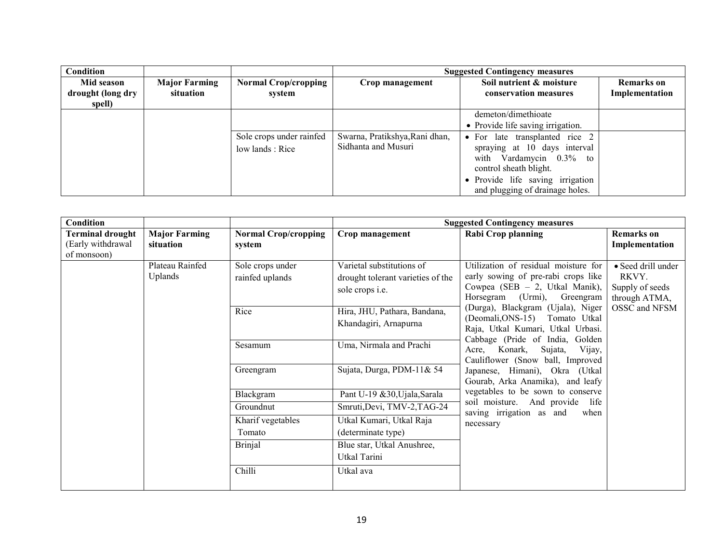| Condition         |                      |                             |                                | <b>Suggested Contingency measures</b> |                   |  |
|-------------------|----------------------|-----------------------------|--------------------------------|---------------------------------------|-------------------|--|
| Mid season        | <b>Major Farming</b> | <b>Normal Crop/cropping</b> | Crop management                | Soil nutrient & moisture              | <b>Remarks</b> on |  |
| drought (long dry | situation            | system                      |                                | conservation measures                 | Implementation    |  |
| spell)            |                      |                             |                                |                                       |                   |  |
|                   |                      |                             |                                | demeton/dimethioate                   |                   |  |
|                   |                      |                             |                                | • Provide life saving irrigation.     |                   |  |
|                   |                      | Sole crops under rainfed    | Swarna, Pratikshya, Rani dhan, | • For late transplanted rice 2        |                   |  |
|                   |                      | low lands : Rice            | Sidhanta and Musuri            | spraying at 10 days interval          |                   |  |
|                   |                      |                             |                                | with Vardamycin $0.3\%$ to            |                   |  |
|                   |                      |                             |                                | control sheath blight.                |                   |  |
|                   |                      |                             |                                | • Provide life saving irrigation      |                   |  |
|                   |                      |                             |                                | and plugging of drainage holes.       |                   |  |

| Condition                                                   |                                   |                                       |                                                                                          | <b>Suggested Contingency measures</b>                                                                                                                                                                                                                                                                                                                                                                                                            |                                     |                                                                 |
|-------------------------------------------------------------|-----------------------------------|---------------------------------------|------------------------------------------------------------------------------------------|--------------------------------------------------------------------------------------------------------------------------------------------------------------------------------------------------------------------------------------------------------------------------------------------------------------------------------------------------------------------------------------------------------------------------------------------------|-------------------------------------|-----------------------------------------------------------------|
| <b>Terminal drought</b><br>(Early withdrawal<br>of monsoon) | <b>Major Farming</b><br>situation | <b>Normal Crop/cropping</b><br>system | Crop management                                                                          | <b>Rabi Crop planning</b>                                                                                                                                                                                                                                                                                                                                                                                                                        | <b>Remarks</b> on<br>Implementation |                                                                 |
|                                                             | Plateau Rainfed<br>Uplands        | Sole crops under<br>rainfed uplands   | Varietal substitutions of<br>drought tolerant varieties of the<br>sole crops <i>i.e.</i> | Utilization of residual moisture for<br>early sowing of pre-rabi crops like<br>Cowpea (SEB $-2$ , Utkal Manik),<br>Horsegram (Urmi), Greengram<br>(Durga), Blackgram (Ujala), Niger<br>(Deomali, ONS-15) Tomato Utkal<br>Raja, Utkal Kumari, Utkal Urbasi.<br>Cabbage (Pride of India, Golden<br>Konark,<br>Sujata,<br>Vijay,<br>Acre,<br>Cauliflower (Snow ball, Improved<br>Japanese, Himani), Okra (Utkal<br>Gourab, Arka Anamika), and leafy |                                     | • Seed drill under<br>RKVY.<br>Supply of seeds<br>through ATMA, |
|                                                             |                                   | Rice                                  | Hira, JHU, Pathara, Bandana,<br>Khandagiri, Arnapurna                                    |                                                                                                                                                                                                                                                                                                                                                                                                                                                  |                                     | OSSC and NFSM                                                   |
|                                                             |                                   | Sesamum                               | Uma, Nirmala and Prachi                                                                  |                                                                                                                                                                                                                                                                                                                                                                                                                                                  |                                     |                                                                 |
|                                                             |                                   | Greengram                             | Sujata, Durga, PDM-11& 54                                                                |                                                                                                                                                                                                                                                                                                                                                                                                                                                  |                                     |                                                                 |
|                                                             |                                   | Blackgram                             | Pant U-19 & 30, Ujala, Sarala                                                            | vegetables to be sown to conserve                                                                                                                                                                                                                                                                                                                                                                                                                |                                     |                                                                 |
|                                                             |                                   | Groundnut                             | Smruti, Devi, TMV-2, TAG-24                                                              | soil moisture. And provide life<br>saving irrigation as and<br>when                                                                                                                                                                                                                                                                                                                                                                              |                                     |                                                                 |
|                                                             |                                   | Kharif vegetables                     | Utkal Kumari, Utkal Raja                                                                 | necessary                                                                                                                                                                                                                                                                                                                                                                                                                                        |                                     |                                                                 |
|                                                             |                                   | Tomato                                | (determinate type)                                                                       |                                                                                                                                                                                                                                                                                                                                                                                                                                                  |                                     |                                                                 |
|                                                             |                                   | <b>Brinjal</b>                        | Blue star, Utkal Anushree,                                                               |                                                                                                                                                                                                                                                                                                                                                                                                                                                  |                                     |                                                                 |
|                                                             |                                   |                                       | Utkal Tarini                                                                             |                                                                                                                                                                                                                                                                                                                                                                                                                                                  |                                     |                                                                 |
|                                                             |                                   | Chilli                                | Utkal ava                                                                                |                                                                                                                                                                                                                                                                                                                                                                                                                                                  |                                     |                                                                 |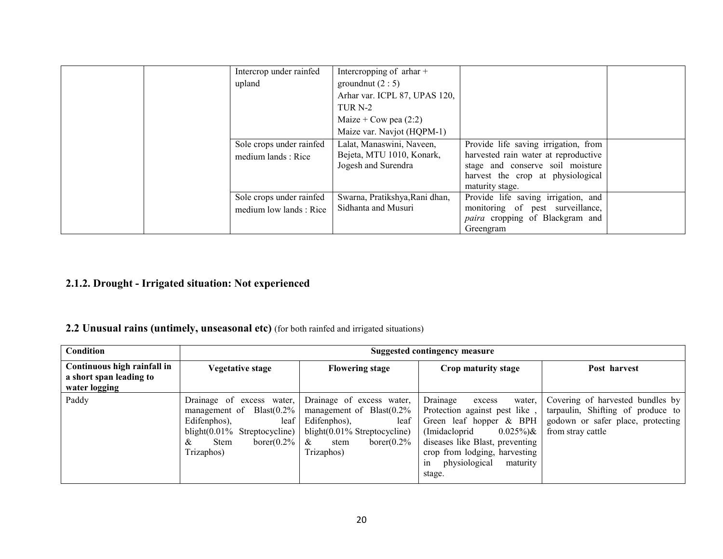|  | Intercrop under rainfed  | Intercropping of $\pi$ thar +  |                                        |  |
|--|--------------------------|--------------------------------|----------------------------------------|--|
|  | upland                   | ground nut $(2:5)$             |                                        |  |
|  |                          | Arhar var. ICPL 87, UPAS 120,  |                                        |  |
|  |                          | TUR <sub>N-2</sub>             |                                        |  |
|  |                          | Maize + Cow pea $(2:2)$        |                                        |  |
|  |                          | Maize var. Navjot (HQPM-1)     |                                        |  |
|  | Sole crops under rainfed | Lalat, Manaswini, Naveen,      | Provide life saving irrigation, from   |  |
|  | medium lands: Rice       | Bejeta, MTU 1010, Konark,      | harvested rain water at reproductive   |  |
|  |                          | Jogesh and Surendra            | stage and conserve soil moisture       |  |
|  |                          |                                | harvest the crop at physiological      |  |
|  |                          |                                | maturity stage.                        |  |
|  | Sole crops under rainfed | Swarna, Pratikshya, Rani dhan, | Provide life saving irrigation, and    |  |
|  | medium low lands : Rice  | Sidhanta and Musuri            | monitoring of pest surveillance,       |  |
|  |                          |                                | <i>paira</i> cropping of Blackgram and |  |
|  |                          |                                | Greengram                              |  |

## 2.1.2. Drought - Irrigated situation: Not experienced

## 2.2 Unusual rains (untimely, unseasonal etc) (for both rainfed and irrigated situations)

| Condition                                                               | Suggested contingency measure                                                                                                                                             |                                                                                                                                                                   |                                                                                                                                                                                                                                                                           |                                                                                                                                 |  |  |
|-------------------------------------------------------------------------|---------------------------------------------------------------------------------------------------------------------------------------------------------------------------|-------------------------------------------------------------------------------------------------------------------------------------------------------------------|---------------------------------------------------------------------------------------------------------------------------------------------------------------------------------------------------------------------------------------------------------------------------|---------------------------------------------------------------------------------------------------------------------------------|--|--|
| Continuous high rainfall in<br>a short span leading to<br>water logging | Vegetative stage                                                                                                                                                          | <b>Flowering stage</b>                                                                                                                                            | Crop maturity stage                                                                                                                                                                                                                                                       | Post harvest                                                                                                                    |  |  |
| Paddy                                                                   | Drainage of excess water,<br>management of $Blast(0.2\%)$<br>Edifenphos),<br>leaf<br>blight $(0.01\%$ Streptocycline)<br>borer $(0.2\%$<br><b>Stem</b><br>&<br>Trizaphos) | Drainage of excess water,<br>management of $Blast(0.2\%$<br>Edifenphos),<br>leaf<br>blight $(0.01\%$ Streptocycline)<br>borer $(0.2\%$<br>&<br>stem<br>Trizaphos) | Drainage<br>water.<br>excess<br>Protection against pest like,<br>Green leaf hopper & BPH<br>(Imidacloprid)<br>$0.025\%$ <sub>\coti</sub> & \end{brac{s}}<br>diseases like Blast, preventing<br>crop from lodging, harvesting<br>physiological<br>maturity<br>1n<br>stage. | Covering of harvested bundles by<br>tarpaulin, Shifting of produce to<br>godown or safer place, protecting<br>from stray cattle |  |  |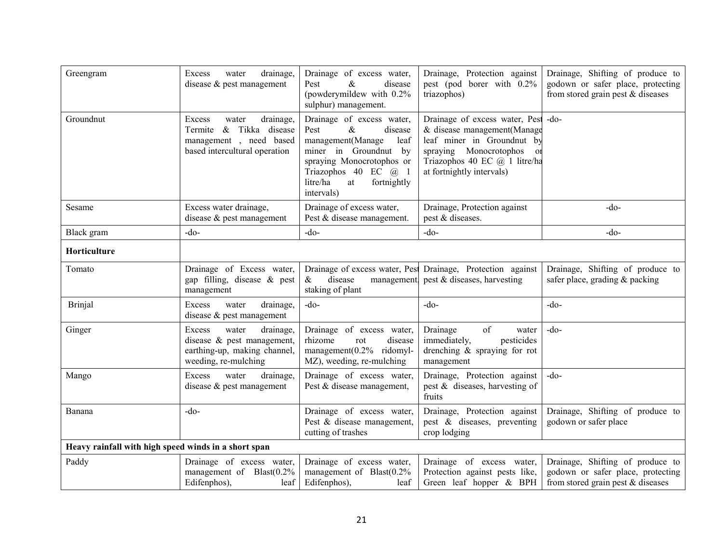| Greengram                                            | drainage,<br>Excess<br>water<br>disease & pest management                                                             | Drainage of excess water,<br>Pest<br>&<br>disease<br>(powderymildew with 0.2%<br>sulphur) management.                                                                                                                           | Drainage, Protection against<br>pest (pod borer with 0.2%<br>triazophos)                                                                                                                                      | Drainage, Shifting of produce to<br>godown or safer place, protecting<br>from stored grain pest $&$ diseases |
|------------------------------------------------------|-----------------------------------------------------------------------------------------------------------------------|---------------------------------------------------------------------------------------------------------------------------------------------------------------------------------------------------------------------------------|---------------------------------------------------------------------------------------------------------------------------------------------------------------------------------------------------------------|--------------------------------------------------------------------------------------------------------------|
| Groundnut                                            | Excess<br>drainage,<br>water<br>& Tikka disease<br>Termite<br>management, need based<br>based intercultural operation | Drainage of excess water,<br>$\&$<br>Pest<br>disease<br>management(Manage<br>leaf<br>miner in Groundnut by<br>spraying Monocrotophos or<br>Triazophos 40 EC @ 1<br>litre/ha<br>fortnightly<br>$\operatorname{at}$<br>intervals) | Drainage of excess water, Pest -do-<br>& disease management(Manage<br>leaf miner in Groundnut by<br>Monocrotophos<br>spraying<br>O <sub>1</sub><br>Triazophos 40 EC @ 1 litre/ha<br>at fortnightly intervals) |                                                                                                              |
| Sesame                                               | Excess water drainage,<br>disease $&$ pest management                                                                 | Drainage of excess water,<br>Pest & disease management.                                                                                                                                                                         | Drainage, Protection against<br>pest & diseases.                                                                                                                                                              | $-do-$                                                                                                       |
| Black gram                                           | $-do-$                                                                                                                | $-do-$                                                                                                                                                                                                                          | $-do-$                                                                                                                                                                                                        | $-do$ -                                                                                                      |
| Horticulture                                         |                                                                                                                       |                                                                                                                                                                                                                                 |                                                                                                                                                                                                               |                                                                                                              |
| Tomato                                               | Drainage of Excess water,<br>gap filling, disease & pest<br>management                                                | disease<br>$\&$<br>staking of plant                                                                                                                                                                                             | Drainage of excess water, Pest Drainage, Protection against<br>management, pest & diseases, harvesting                                                                                                        | Drainage, Shifting of produce to<br>safer place, grading & packing                                           |
| <b>Brinjal</b>                                       | drainage,<br>Excess<br>water<br>disease & pest management                                                             | $-do-$                                                                                                                                                                                                                          | $-do-$                                                                                                                                                                                                        | $-do-$                                                                                                       |
| Ginger                                               | drainage,<br>Excess<br>water<br>disease $\&$ pest management,<br>earthing-up, making channel,<br>weeding, re-mulching | Drainage of excess water,<br>rhizome<br>disease<br>rot<br>management(0.2% ridomyl-<br>MZ), weeding, re-mulching                                                                                                                 | of<br>Drainage<br>water<br>pesticides<br>immediately,<br>drenching & spraying for rot<br>management                                                                                                           | $-do$                                                                                                        |
| Mango                                                | Excess<br>water<br>drainage,<br>disease $&$ pest management                                                           | Drainage of excess water,<br>Pest & disease management,                                                                                                                                                                         | Drainage, Protection against<br>pest & diseases, harvesting of<br>fruits                                                                                                                                      | $-do-$                                                                                                       |
| Banana                                               | $-do-$                                                                                                                | Drainage of excess water,<br>Pest & disease management,<br>cutting of trashes                                                                                                                                                   | Drainage, Protection against<br>pest & diseases, preventing<br>crop lodging                                                                                                                                   | Drainage, Shifting of produce to<br>godown or safer place                                                    |
| Heavy rainfall with high speed winds in a short span |                                                                                                                       |                                                                                                                                                                                                                                 |                                                                                                                                                                                                               |                                                                                                              |
| Paddy                                                | Drainage of excess water,<br>management of Blast(0.2%<br>Edifenphos),<br>leaf                                         | Drainage of excess water,<br>management of Blast(0.2%<br>Edifenphos),<br>leaf                                                                                                                                                   | Drainage of excess water,<br>Protection against pests like,<br>Green leaf hopper & BPH                                                                                                                        | Drainage, Shifting of produce to<br>godown or safer place, protecting<br>from stored grain pest $&$ diseases |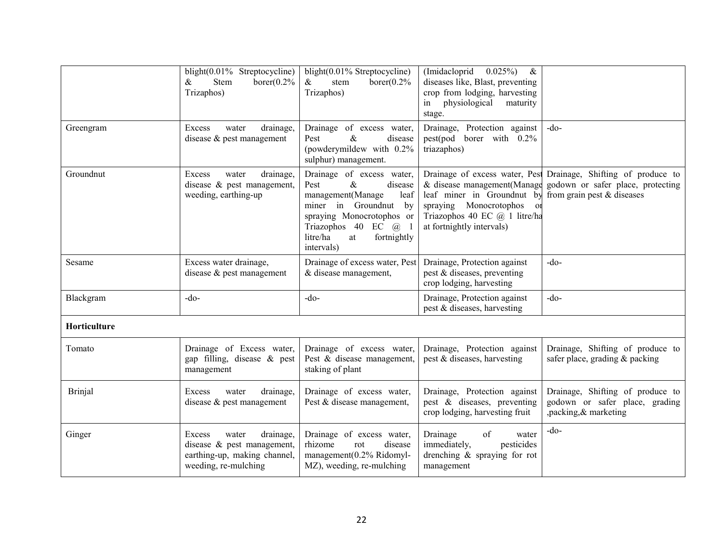|                | blight(0.01% Streptocycline)<br>$\&$<br>Stem<br>borer $(0.2%$<br>Trizaphos)                                           | blight $(0.01\%$ Streptocycline)<br>$\&$<br>borer $(0.2%$<br>stem<br>Trizaphos)                                                                                                                                                    | (Imidacloprid<br>$0.025\%$<br>$\&$<br>diseases like, Blast, preventing<br>crop from lodging, harvesting<br>physiological<br>maturity<br>in<br>stage.                |                                                                                                                                      |
|----------------|-----------------------------------------------------------------------------------------------------------------------|------------------------------------------------------------------------------------------------------------------------------------------------------------------------------------------------------------------------------------|---------------------------------------------------------------------------------------------------------------------------------------------------------------------|--------------------------------------------------------------------------------------------------------------------------------------|
| Greengram      | drainage.<br>water<br>Excess<br>disease $&$ pest management                                                           | Drainage of excess water,<br>$\&$<br>Pest<br>disease<br>(powderymildew with 0.2%<br>sulphur) management.                                                                                                                           | Drainage, Protection against<br>pest(pod borer with 0.2%<br>triazaphos)                                                                                             | $-do-$                                                                                                                               |
| Groundnut      | drainage,<br>Excess<br>water<br>disease $\&$ pest management,<br>weeding, earthing-up                                 | Drainage of excess water,<br>$\&$<br>Pest<br>disease<br>management(Manage<br>leaf<br>miner in Groundnut<br>by<br>spraying Monocrotophos or<br>Triazophos 40 EC @ 1<br>litre/ha<br>fortnightly<br>$\operatorname{at}$<br>intervals) | & disease management(Manage<br>leaf miner in Groundnut by<br>spraying Monocrotophos<br>O <sub>1</sub><br>Triazophos 40 EC @ 1 litre/ha<br>at fortnightly intervals) | Drainage of excess water, Pest Drainage, Shifting of produce to<br>godown or safer place, protecting<br>from grain pest $&$ diseases |
| Sesame         | Excess water drainage,<br>disease $\&$ pest management                                                                | Drainage of excess water, Pest<br>& disease management,                                                                                                                                                                            | Drainage, Protection against<br>pest & diseases, preventing<br>crop lodging, harvesting                                                                             | $-do-$                                                                                                                               |
| Blackgram      | $-do-$                                                                                                                | $-do$                                                                                                                                                                                                                              | Drainage, Protection against<br>pest & diseases, harvesting                                                                                                         | $-do$                                                                                                                                |
| Horticulture   |                                                                                                                       |                                                                                                                                                                                                                                    |                                                                                                                                                                     |                                                                                                                                      |
| Tomato         | Drainage of Excess water,<br>gap filling, disease & pest<br>management                                                | Drainage of excess water,<br>Pest & disease management,<br>staking of plant                                                                                                                                                        | Drainage, Protection against<br>pest & diseases, harvesting                                                                                                         | Drainage, Shifting of produce to<br>safer place, grading & packing                                                                   |
| <b>Brinjal</b> | drainage,<br>water<br>Excess<br>disease & pest management                                                             | Drainage of excess water,<br>Pest & disease management,                                                                                                                                                                            | Drainage, Protection against<br>pest & diseases, preventing<br>crop lodging, harvesting fruit                                                                       | Drainage, Shifting of produce to<br>godown or safer place, grading<br>,packing, & marketing                                          |
| Ginger         | drainage,<br>Excess<br>water<br>disease $\&$ pest management,<br>earthing-up, making channel,<br>weeding, re-mulching | Drainage of excess water,<br>rhizome<br>disease<br>rot<br>management(0.2% Ridomyl-<br>MZ), weeding, re-mulching                                                                                                                    | Drainage<br>of<br>water<br>immediately,<br>pesticides<br>drenching $\&$ spraying for rot<br>management                                                              | $-do$                                                                                                                                |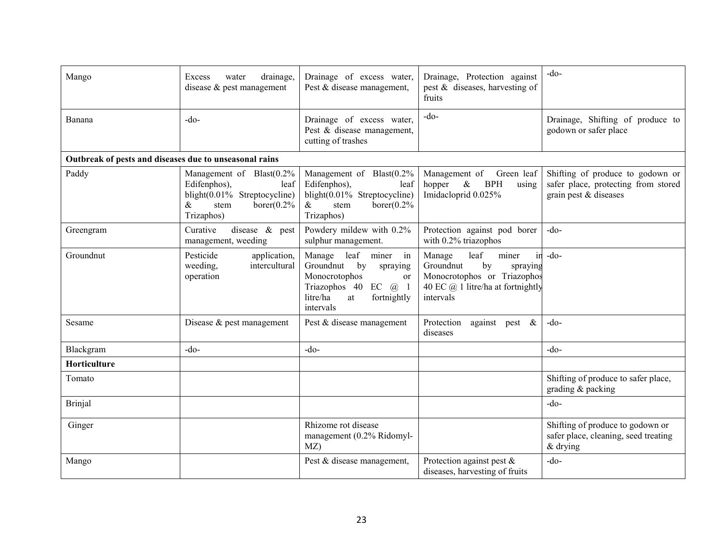| Mango                                                  | drainage,<br>Excess<br>water<br>disease $&$ pest management                                                                     | Drainage of excess water,<br>Pest & disease management,                                                                                                              | Drainage, Protection against<br>pest $\&$ diseases, harvesting of<br>fruits                                                                     | $-do-$                                                                                           |
|--------------------------------------------------------|---------------------------------------------------------------------------------------------------------------------------------|----------------------------------------------------------------------------------------------------------------------------------------------------------------------|-------------------------------------------------------------------------------------------------------------------------------------------------|--------------------------------------------------------------------------------------------------|
| Banana                                                 | $-do$                                                                                                                           | Drainage of excess water,<br>Pest & disease management,<br>cutting of trashes                                                                                        | $-do-$                                                                                                                                          | Drainage, Shifting of produce to<br>godown or safer place                                        |
| Outbreak of pests and diseases due to unseasonal rains |                                                                                                                                 |                                                                                                                                                                      |                                                                                                                                                 |                                                                                                  |
| Paddy                                                  | Management of Blast(0.2%<br>Edifenphos),<br>leaf<br>blight(0.01% Streptocycline)<br>borer $(0.2%$<br>$\&$<br>stem<br>Trizaphos) | Management of Blast(0.2%<br>Edifenphos),<br>leaf<br>blight(0.01% Streptocycline)<br>$\&$<br>borer $(0.2\%$<br>stem<br>Trizaphos)                                     | Management of<br>Green leaf<br><b>BPH</b><br>$\&$<br>hopper<br>using<br>Imidacloprid 0.025%                                                     | Shifting of produce to godown or<br>safer place, protecting from stored<br>grain pest & diseases |
| Greengram                                              | disease & pest<br>Curative<br>management, weeding                                                                               | Powdery mildew with 0.2%<br>sulphur management.                                                                                                                      | Protection against pod borer<br>with 0.2% triazophos                                                                                            | $-do-$                                                                                           |
| Groundnut                                              | Pesticide<br>application,<br>intercultural<br>weeding.<br>operation                                                             | Manage<br>leaf<br>miner<br>in<br>Groundnut<br>by<br>spraying<br>Monocrotophos<br><sub>or</sub><br>Triazophos 40 EC @ 1<br>litre/ha<br>fortnightly<br>at<br>intervals | leaf<br>miner<br>in<br>Manage<br>Groundnut<br>by<br>spraying<br>Monocrotophos or Triazophos<br>40 EC $@$ 1 litre/ha at fortnightly<br>intervals | $-do-$                                                                                           |
| Sesame                                                 | Disease $&$ pest management                                                                                                     | Pest & disease management                                                                                                                                            | Protection<br>against pest $\&$<br>diseases                                                                                                     | $-do-$                                                                                           |
| Blackgram                                              | $-do-$                                                                                                                          | $-do-$                                                                                                                                                               |                                                                                                                                                 | $-do$                                                                                            |
| Horticulture                                           |                                                                                                                                 |                                                                                                                                                                      |                                                                                                                                                 |                                                                                                  |
| Tomato                                                 |                                                                                                                                 |                                                                                                                                                                      |                                                                                                                                                 | Shifting of produce to safer place,<br>grading & packing                                         |
| <b>Brinjal</b>                                         |                                                                                                                                 |                                                                                                                                                                      |                                                                                                                                                 | $-do-$                                                                                           |
| Ginger                                                 |                                                                                                                                 | Rhizome rot disease<br>management (0.2% Ridomyl-<br>MZ)                                                                                                              |                                                                                                                                                 | Shifting of produce to godown or<br>safer place, cleaning, seed treating<br>& drying             |
| Mango                                                  |                                                                                                                                 | Pest & disease management,                                                                                                                                           | Protection against pest $\&$<br>diseases, harvesting of fruits                                                                                  | $-do$                                                                                            |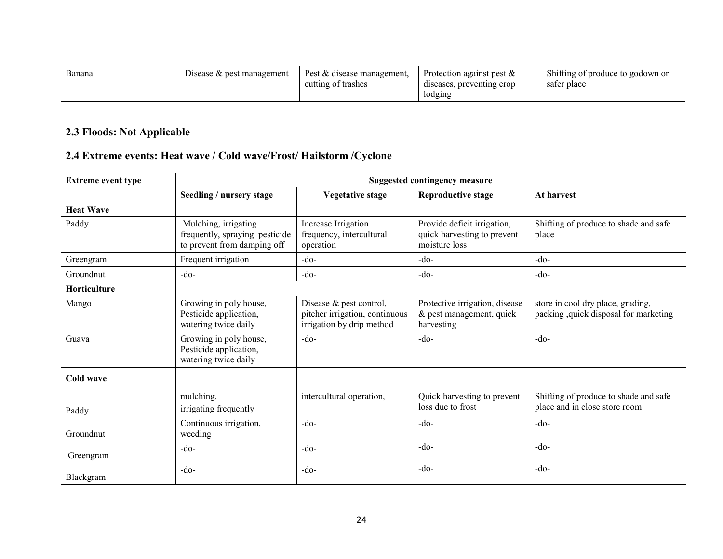| Banana | Disease $\&$ pest management | Pest & disease management, | Protection against pest $\&$ | Shifting of produce to godown or |
|--------|------------------------------|----------------------------|------------------------------|----------------------------------|
|        |                              | cutting of trashes         | diseases, preventing crop    | sater place                      |
|        |                              |                            | lodging                      |                                  |

### 2.3 Floods: Not Applicable

## 2.4 Extreme events: Heat wave / Cold wave/Frost/ Hailstorm /Cyclone

| <b>Extreme event type</b> | <b>Suggested contingency measure</b>                                                  |                                                                                        |                                                                             |                                                                             |
|---------------------------|---------------------------------------------------------------------------------------|----------------------------------------------------------------------------------------|-----------------------------------------------------------------------------|-----------------------------------------------------------------------------|
|                           | Seedling / nursery stage                                                              | <b>Vegetative stage</b>                                                                | <b>Reproductive stage</b>                                                   | At harvest                                                                  |
| <b>Heat Wave</b>          |                                                                                       |                                                                                        |                                                                             |                                                                             |
| Paddy                     | Mulching, irrigating<br>frequently, spraying pesticide<br>to prevent from damping off | Increase Irrigation<br>frequency, intercultural<br>operation                           | Provide deficit irrigation.<br>quick harvesting to prevent<br>moisture loss | Shifting of produce to shade and safe<br>place                              |
| Greengram                 | Frequent irrigation                                                                   | $-do-$                                                                                 | $-do-$                                                                      | $-do$                                                                       |
| Groundnut                 | $-do-$                                                                                | $-do-$                                                                                 | $-do-$                                                                      | $-do-$                                                                      |
| Horticulture              |                                                                                       |                                                                                        |                                                                             |                                                                             |
| Mango                     | Growing in poly house,<br>Pesticide application,<br>watering twice daily              | Disease & pest control,<br>pitcher irrigation, continuous<br>irrigation by drip method | Protective irrigation, disease<br>& pest management, quick<br>harvesting    | store in cool dry place, grading,<br>packing , quick disposal for marketing |
| Guava                     | Growing in poly house,<br>Pesticide application,<br>watering twice daily              | $-do$                                                                                  | $-do-$                                                                      | $-do-$                                                                      |
| Cold wave                 |                                                                                       |                                                                                        |                                                                             |                                                                             |
| Paddy                     | mulching,<br>irrigating frequently                                                    | intercultural operation,                                                               | Quick harvesting to prevent<br>loss due to frost                            | Shifting of produce to shade and safe<br>place and in close store room      |
| Groundnut                 | Continuous irrigation,<br>weeding                                                     | $-do$                                                                                  | $-do-$                                                                      | $-do-$                                                                      |
| Greengram                 | $-do$                                                                                 | $-do$                                                                                  | $-do-$                                                                      | $-do-$                                                                      |
| Blackgram                 | $-do$                                                                                 | $-do$                                                                                  | $-do-$                                                                      | $-do-$                                                                      |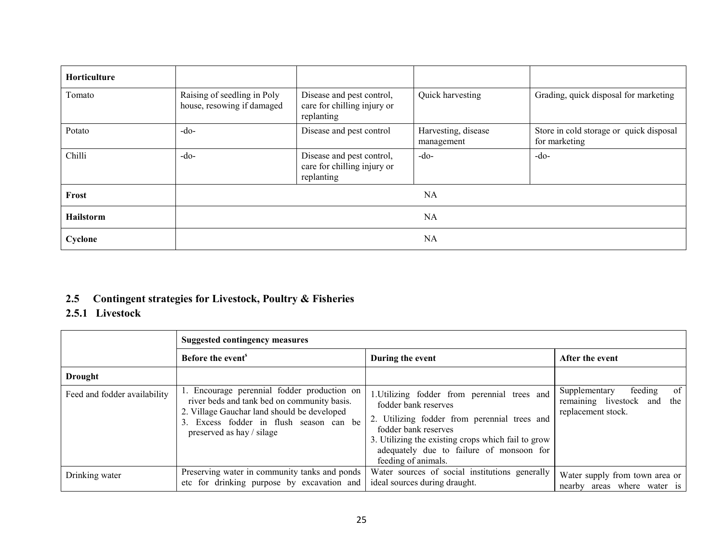| <b>Horticulture</b> |                                                           |                                                                        |                                   |                                                          |
|---------------------|-----------------------------------------------------------|------------------------------------------------------------------------|-----------------------------------|----------------------------------------------------------|
| Tomato              | Raising of seedling in Poly<br>house, resowing if damaged | Disease and pest control,<br>care for chilling injury or<br>replanting | Quick harvesting                  | Grading, quick disposal for marketing                    |
| Potato              | $-do-$                                                    | Disease and pest control                                               | Harvesting, disease<br>management | Store in cold storage or quick disposal<br>for marketing |
| Chilli              | $-do-$                                                    | Disease and pest control,<br>care for chilling injury or<br>replanting | $-do-$                            | $-do-$                                                   |
| Frost               | NA                                                        |                                                                        |                                   |                                                          |
| <b>Hailstorm</b>    | <b>NA</b>                                                 |                                                                        |                                   |                                                          |
| Cyclone             |                                                           |                                                                        | NA                                |                                                          |

### 2.5 Contingent strategies for Livestock, Poultry & Fisheries

### 2.5.1 Livestock

|                              | <b>Suggested contingency measures</b>                                                                                                                                                                             |                                                                                                                                                                                                                                                                       |                                                                                        |  |
|------------------------------|-------------------------------------------------------------------------------------------------------------------------------------------------------------------------------------------------------------------|-----------------------------------------------------------------------------------------------------------------------------------------------------------------------------------------------------------------------------------------------------------------------|----------------------------------------------------------------------------------------|--|
|                              | Before the event <sup>s</sup>                                                                                                                                                                                     | During the event                                                                                                                                                                                                                                                      | After the event                                                                        |  |
| <b>Drought</b>               |                                                                                                                                                                                                                   |                                                                                                                                                                                                                                                                       |                                                                                        |  |
| Feed and fodder availability | 1. Encourage perennial fodder production on<br>river beds and tank bed on community basis.<br>2. Village Gauchar land should be developed<br>3. Excess fodder in flush season can be<br>preserved as hay / silage | 1. Utilizing fodder from perennial trees and<br>fodder bank reserves<br>2. Utilizing fodder from perennial trees and<br>fodder bank reserves<br>3. Utilizing the existing crops which fail to grow<br>adequately due to failure of monsoon for<br>feeding of animals. | of<br>feeding<br>Supplementary<br>remaining livestock and<br>the<br>replacement stock. |  |
| Drinking water               | Preserving water in community tanks and ponds<br>etc for drinking purpose by excavation and                                                                                                                       | Water sources of social institutions generally<br>ideal sources during draught.                                                                                                                                                                                       | Water supply from town area or<br>nearby areas where water is                          |  |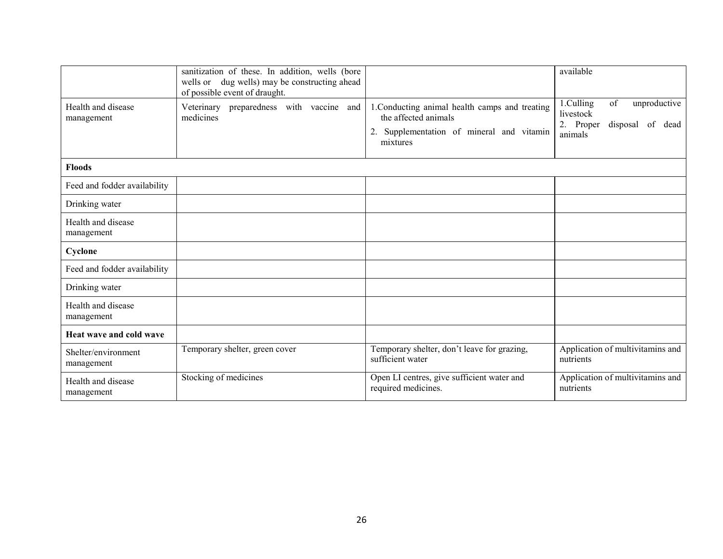|                                   | sanitization of these. In addition, wells (bore<br>wells or dug wells) may be constructing ahead<br>of possible event of draught. |                                                                                                                                 | available                                                                                |
|-----------------------------------|-----------------------------------------------------------------------------------------------------------------------------------|---------------------------------------------------------------------------------------------------------------------------------|------------------------------------------------------------------------------------------|
| Health and disease<br>management  | Veterinary preparedness with vaccine and<br>medicines                                                                             | 1. Conducting animal health camps and treating<br>the affected animals<br>2. Supplementation of mineral and vitamin<br>mixtures | 1.Culling<br>of<br>unproductive<br>livestock<br>2. Proper<br>disposal of dead<br>animals |
| <b>Floods</b>                     |                                                                                                                                   |                                                                                                                                 |                                                                                          |
| Feed and fodder availability      |                                                                                                                                   |                                                                                                                                 |                                                                                          |
| Drinking water                    |                                                                                                                                   |                                                                                                                                 |                                                                                          |
| Health and disease<br>management  |                                                                                                                                   |                                                                                                                                 |                                                                                          |
| Cyclone                           |                                                                                                                                   |                                                                                                                                 |                                                                                          |
| Feed and fodder availability      |                                                                                                                                   |                                                                                                                                 |                                                                                          |
| Drinking water                    |                                                                                                                                   |                                                                                                                                 |                                                                                          |
| Health and disease<br>management  |                                                                                                                                   |                                                                                                                                 |                                                                                          |
| Heat wave and cold wave           |                                                                                                                                   |                                                                                                                                 |                                                                                          |
| Shelter/environment<br>management | Temporary shelter, green cover                                                                                                    | Temporary shelter, don't leave for grazing,<br>sufficient water                                                                 | Application of multivitamins and<br>nutrients                                            |
| Health and disease<br>management  | Stocking of medicines                                                                                                             | Open LI centres, give sufficient water and<br>required medicines.                                                               | Application of multivitamins and<br>nutrients                                            |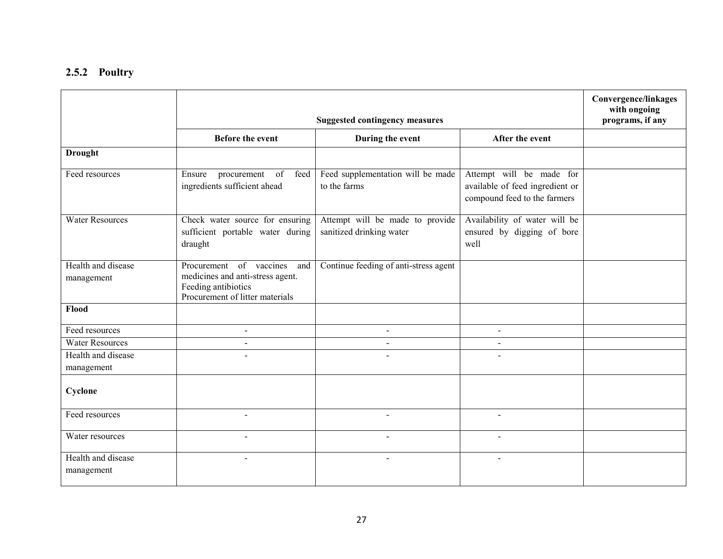### 2.5.2 Poultry

|                                  |                                                                                                                           | <b>Convergence/linkages</b><br>with ongoing<br>programs, if any |                                                                                             |  |
|----------------------------------|---------------------------------------------------------------------------------------------------------------------------|-----------------------------------------------------------------|---------------------------------------------------------------------------------------------|--|
|                                  | <b>Before the event</b>                                                                                                   | During the event                                                | After the event                                                                             |  |
| <b>Drought</b>                   |                                                                                                                           |                                                                 |                                                                                             |  |
| Feed resources                   | Ensure<br>procurement<br>of<br>feed<br>ingredients sufficient ahead                                                       | Feed supplementation will be made<br>to the farms               | Attempt will be made for<br>available of feed ingredient or<br>compound feed to the farmers |  |
| <b>Water Resources</b>           | Check water source for ensuring<br>sufficient portable water during<br>draught                                            | Attempt will be made to provide<br>sanitized drinking water     | Availability of water will be<br>ensured by digging of bore<br>well                         |  |
| Health and disease<br>management | Procurement of vaccines and<br>medicines and anti-stress agent.<br>Feeding antibiotics<br>Procurement of litter materials | Continue feeding of anti-stress agent                           |                                                                                             |  |
| Flood                            |                                                                                                                           |                                                                 |                                                                                             |  |
| Feed resources                   | $\blacksquare$                                                                                                            | $\blacksquare$                                                  | $\sim$                                                                                      |  |
| <b>Water Resources</b>           | $\sim$                                                                                                                    | $\overline{a}$                                                  | $\sim$                                                                                      |  |
| Health and disease<br>management |                                                                                                                           |                                                                 |                                                                                             |  |
| Cyclone                          |                                                                                                                           |                                                                 |                                                                                             |  |
| Feed resources                   | $\sim$                                                                                                                    | $\blacksquare$                                                  | $\sim$                                                                                      |  |
| Water resources                  | $\sim$                                                                                                                    | $\blacksquare$                                                  | $\sim$                                                                                      |  |
| Health and disease<br>management | $\blacksquare$                                                                                                            | $\blacksquare$                                                  | $\sim$                                                                                      |  |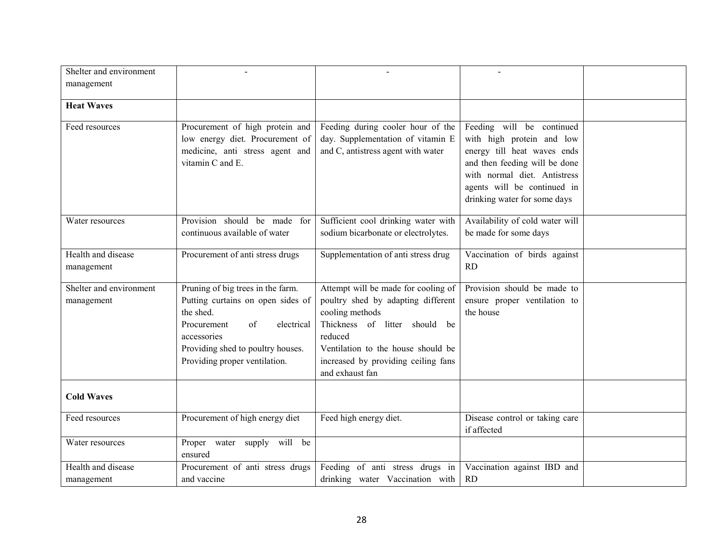| Shelter and environment |                                                                                                                           |                                                                                                              |                                                                                                                                                                                                                       |  |
|-------------------------|---------------------------------------------------------------------------------------------------------------------------|--------------------------------------------------------------------------------------------------------------|-----------------------------------------------------------------------------------------------------------------------------------------------------------------------------------------------------------------------|--|
| management              |                                                                                                                           |                                                                                                              |                                                                                                                                                                                                                       |  |
| <b>Heat Waves</b>       |                                                                                                                           |                                                                                                              |                                                                                                                                                                                                                       |  |
|                         |                                                                                                                           |                                                                                                              |                                                                                                                                                                                                                       |  |
| Feed resources          | Procurement of high protein and<br>low energy diet. Procurement of<br>medicine, anti stress agent and<br>vitamin C and E. | Feeding during cooler hour of the<br>day. Supplementation of vitamin E<br>and C, antistress agent with water | Feeding will be continued<br>with high protein and low<br>energy till heat waves ends<br>and then feeding will be done<br>with normal diet. Antistress<br>agents will be continued in<br>drinking water for some days |  |
| Water resources         | Provision should be made<br>for                                                                                           | Sufficient cool drinking water with                                                                          | Availability of cold water will                                                                                                                                                                                       |  |
|                         | continuous available of water                                                                                             | sodium bicarbonate or electrolytes.                                                                          | be made for some days                                                                                                                                                                                                 |  |
| Health and disease      | Procurement of anti stress drugs                                                                                          | Supplementation of anti stress drug                                                                          | Vaccination of birds against                                                                                                                                                                                          |  |
| management              |                                                                                                                           |                                                                                                              | RD                                                                                                                                                                                                                    |  |
| Shelter and environment | Pruning of big trees in the farm.                                                                                         | Attempt will be made for cooling of                                                                          | Provision should be made to                                                                                                                                                                                           |  |
| management              | Putting curtains on open sides of                                                                                         | poultry shed by adapting different                                                                           | ensure proper ventilation to                                                                                                                                                                                          |  |
|                         | the shed.                                                                                                                 | cooling methods                                                                                              | the house                                                                                                                                                                                                             |  |
|                         | Procurement<br>of<br>electrical<br>accessories                                                                            | Thickness of litter should be<br>reduced                                                                     |                                                                                                                                                                                                                       |  |
|                         | Providing shed to poultry houses.                                                                                         | Ventilation to the house should be                                                                           |                                                                                                                                                                                                                       |  |
|                         | Providing proper ventilation.                                                                                             | increased by providing ceiling fans                                                                          |                                                                                                                                                                                                                       |  |
|                         |                                                                                                                           | and exhaust fan                                                                                              |                                                                                                                                                                                                                       |  |
| <b>Cold Waves</b>       |                                                                                                                           |                                                                                                              |                                                                                                                                                                                                                       |  |
| Feed resources          | Procurement of high energy diet                                                                                           | Feed high energy diet.                                                                                       | Disease control or taking care<br>if affected                                                                                                                                                                         |  |
| Water resources         | Proper water supply will be<br>ensured                                                                                    |                                                                                                              |                                                                                                                                                                                                                       |  |
| Health and disease      | Procurement of anti stress drugs                                                                                          | Feeding of anti stress drugs in                                                                              | Vaccination against IBD and                                                                                                                                                                                           |  |
| management              | and vaccine                                                                                                               | drinking water Vaccination with                                                                              | <b>RD</b>                                                                                                                                                                                                             |  |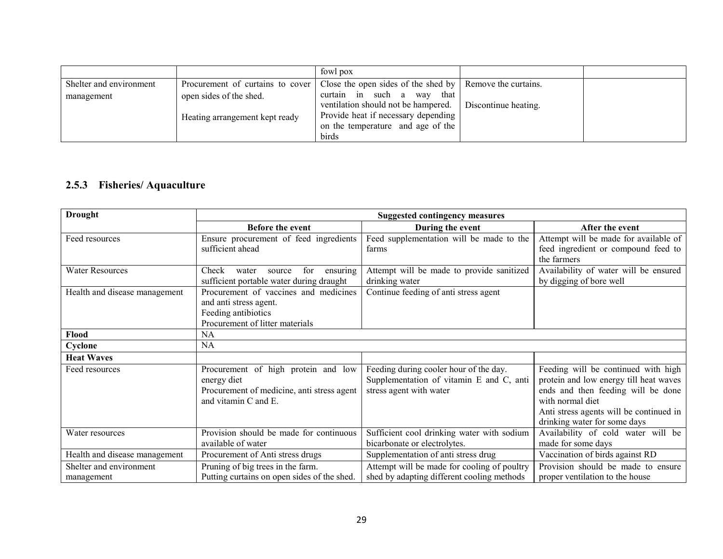|                         |                                  | fowl pox                                                                 |                      |  |
|-------------------------|----------------------------------|--------------------------------------------------------------------------|----------------------|--|
| Shelter and environment | Procurement of curtains to cover | Close the open sides of the shed by Remove the curtains.                 |                      |  |
| management              | open sides of the shed.          | in such a way<br>curtain<br>that<br>ventilation should not be hampered.  | Discontinue heating. |  |
|                         | Heating arrangement kept ready   | Provide heat if necessary depending<br>on the temperature and age of the |                      |  |
|                         |                                  | birds                                                                    |                      |  |

### 2.5.3 Fisheries/ Aquaculture

| <b>Drought</b>                |                                             | <b>Suggested contingency measures</b>       |                                         |
|-------------------------------|---------------------------------------------|---------------------------------------------|-----------------------------------------|
|                               | <b>Before the event</b>                     | During the event                            | After the event                         |
| Feed resources                | Ensure procurement of feed ingredients      | Feed supplementation will be made to the    | Attempt will be made for available of   |
|                               | sufficient ahead                            | farms                                       | feed ingredient or compound feed to     |
|                               |                                             |                                             | the farmers                             |
| <b>Water Resources</b>        | for<br>Check<br>water<br>source<br>ensuring | Attempt will be made to provide sanitized   | Availability of water will be ensured   |
|                               | sufficient portable water during draught    | drinking water                              | by digging of bore well                 |
| Health and disease management | Procurement of vaccines and medicines       | Continue feeding of anti stress agent       |                                         |
|                               | and anti stress agent.                      |                                             |                                         |
|                               | Feeding antibiotics                         |                                             |                                         |
|                               | Procurement of litter materials             |                                             |                                         |
| Flood                         | NA                                          |                                             |                                         |
| Cyclone                       | NA                                          |                                             |                                         |
| <b>Heat Waves</b>             |                                             |                                             |                                         |
| Feed resources                | Procurement of high protein and low         | Feeding during cooler hour of the day.      | Feeding will be continued with high     |
|                               | energy diet                                 | Supplementation of vitamin E and C, anti    | protein and low energy till heat waves  |
|                               | Procurement of medicine, anti stress agent  | stress agent with water                     | ends and then feeding will be done      |
|                               | and vitamin C and E.                        |                                             | with normal diet                        |
|                               |                                             |                                             | Anti stress agents will be continued in |
|                               |                                             |                                             | drinking water for some days            |
| Water resources               | Provision should be made for continuous     | Sufficient cool drinking water with sodium  | Availability of cold water will be      |
|                               | available of water                          | bicarbonate or electrolytes.                | made for some days                      |
| Health and disease management | Procurement of Anti stress drugs            | Supplementation of anti stress drug         | Vaccination of birds against RD         |
| Shelter and environment       | Pruning of big trees in the farm.           | Attempt will be made for cooling of poultry | Provision should be made to ensure      |
| management                    | Putting curtains on open sides of the shed. | shed by adapting different cooling methods  | proper ventilation to the house         |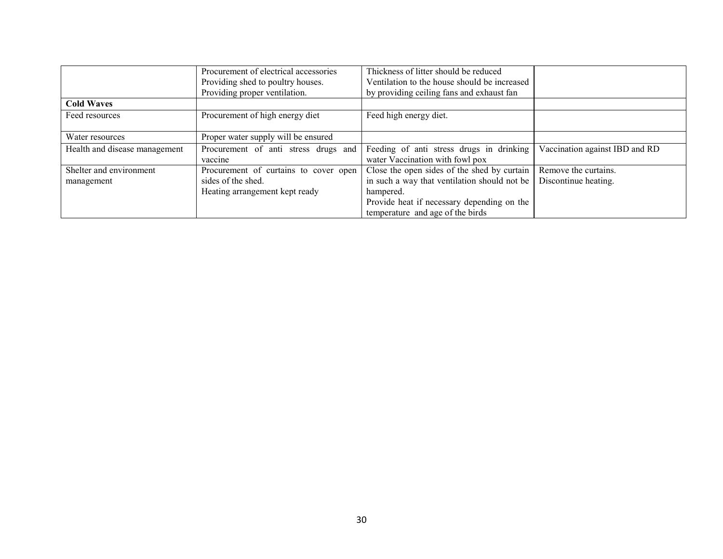|                               | Procurement of electrical accessories | Thickness of litter should be reduced        |                                |
|-------------------------------|---------------------------------------|----------------------------------------------|--------------------------------|
|                               | Providing shed to poultry houses.     | Ventilation to the house should be increased |                                |
|                               | Providing proper ventilation.         | by providing ceiling fans and exhaust fan    |                                |
| <b>Cold Waves</b>             |                                       |                                              |                                |
| Feed resources                | Procurement of high energy diet       | Feed high energy diet.                       |                                |
|                               |                                       |                                              |                                |
| Water resources               | Proper water supply will be ensured   |                                              |                                |
| Health and disease management | Procurement of anti stress drugs and  | Feeding of anti stress drugs in drinking     | Vaccination against IBD and RD |
|                               | vaccine                               | water Vaccination with fowl pox              |                                |
| Shelter and environment       | Procurement of curtains to cover open | Close the open sides of the shed by curtain  | Remove the curtains.           |
| management                    | sides of the shed.                    | in such a way that ventilation should not be | Discontinue heating.           |
|                               | Heating arrangement kept ready        | hampered.                                    |                                |
|                               |                                       | Provide heat if necessary depending on the   |                                |
|                               |                                       | temperature and age of the birds             |                                |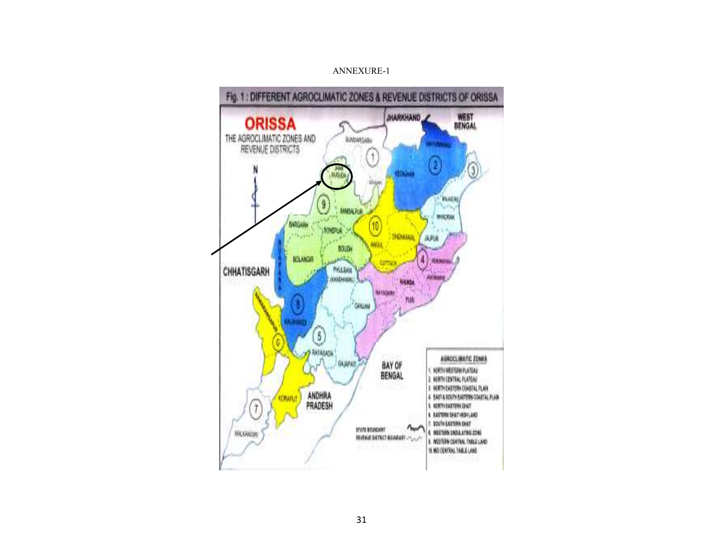#### ANNEXURE-1

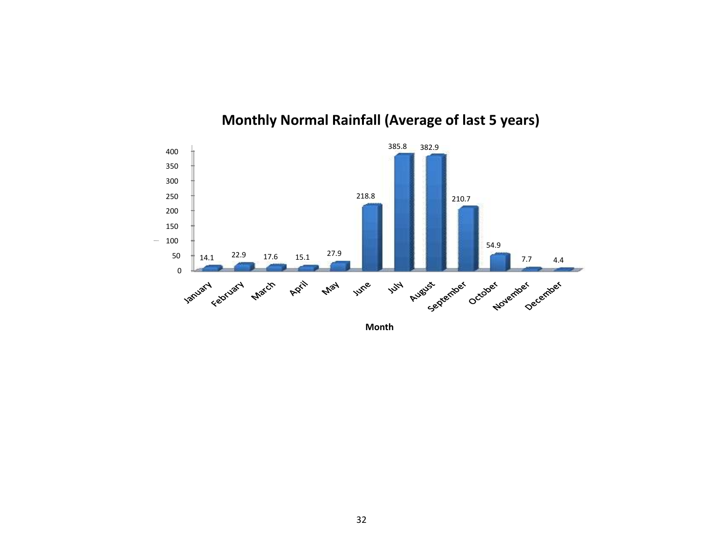

## Monthly Normal Rainfall (Average of last 5 years)

Month